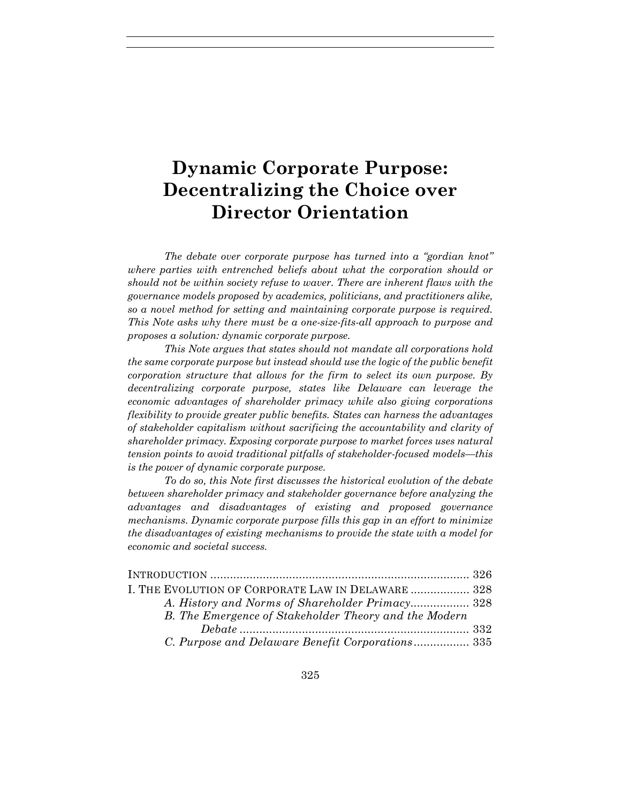# **Dynamic Corporate Purpose: Decentralizing the Choice over Director Orientation**

*The debate over corporate purpose has turned into a "gordian knot" where parties with entrenched beliefs about what the corporation should or should not be within society refuse to waver. There are inherent flaws with the governance models proposed by academics, politicians, and practitioners alike, so a novel method for setting and maintaining corporate purpose is required. This Note asks why there must be a one-size-fits-all approach to purpose and proposes a solution: dynamic corporate purpose.* 

*This Note argues that states should not mandate all corporations hold the same corporate purpose but instead should use the logic of the public benefit corporation structure that allows for the firm to select its own purpose. By decentralizing corporate purpose, states like Delaware can leverage the economic advantages of shareholder primacy while also giving corporations flexibility to provide greater public benefits. States can harness the advantages of stakeholder capitalism without sacrificing the accountability and clarity of shareholder primacy. Exposing corporate purpose to market forces uses natural tension points to avoid traditional pitfalls of stakeholder-focused models—this is the power of dynamic corporate purpose.*

*To do so, this Note first discusses the historical evolution of the debate between shareholder primacy and stakeholder governance before analyzing the advantages and disadvantages of existing and proposed governance mechanisms. Dynamic corporate purpose fills this gap in an effort to minimize the disadvantages of existing mechanisms to provide the state with a model for economic and societal success.*

| I. THE EVOLUTION OF CORPORATE LAW IN DELAWARE  328    |  |
|-------------------------------------------------------|--|
|                                                       |  |
| B. The Emergence of Stakeholder Theory and the Modern |  |
|                                                       |  |
| C. Purpose and Delaware Benefit Corporations 335      |  |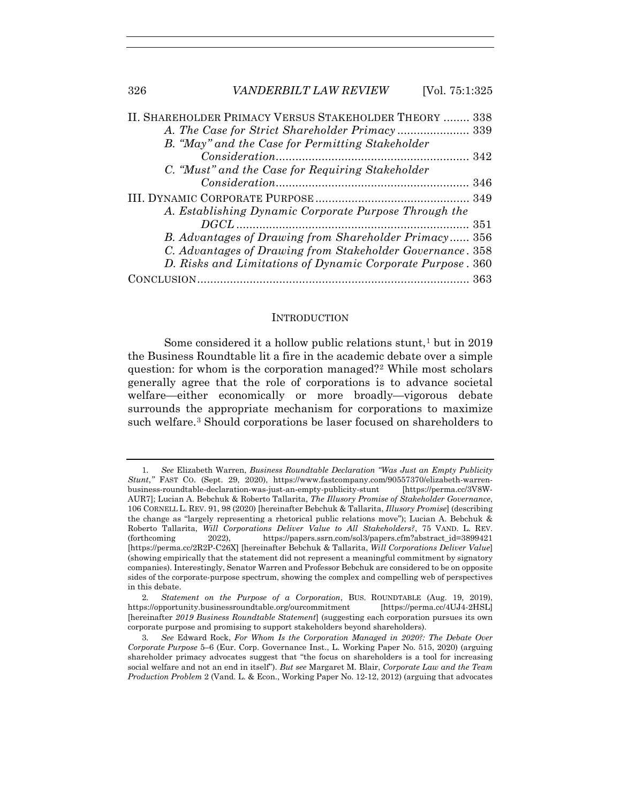| II. SHAREHOLDER PRIMACY VERSUS STAKEHOLDER THEORY  338     |  |
|------------------------------------------------------------|--|
|                                                            |  |
| B. "May" and the Case for Permitting Stakeholder           |  |
|                                                            |  |
| C. "Must" and the Case for Requiring Stakeholder           |  |
|                                                            |  |
|                                                            |  |
| A. Establishing Dynamic Corporate Purpose Through the      |  |
|                                                            |  |
| B. Advantages of Drawing from Shareholder Primacy 356      |  |
| C. Advantages of Drawing from Stakeholder Governance. 358  |  |
| D. Risks and Limitations of Dynamic Corporate Purpose. 360 |  |
|                                                            |  |

### **INTRODUCTION**

Some considered it a hollow public relations stunt,<sup>1</sup> but in 2019 the Business Roundtable lit a fire in the academic debate over a simple question: for whom is the corporation managed?2 While most scholars generally agree that the role of corporations is to advance societal welfare—either economically or more broadly—vigorous debate surrounds the appropriate mechanism for corporations to maximize such welfare.3 Should corporations be laser focused on shareholders to

<sup>1</sup>*. See* Elizabeth Warren, *Business Roundtable Declaration "Was Just an Empty Publicity Stunt*,*"* FAST CO. (Sept. 29, 2020), https://www.fastcompany.com/90557370/elizabeth-warrenbusiness-roundtable-declaration-was-just-an-empty-publicity-stunt [https://perma.cc/3V8W-AUR7]; Lucian A. Bebchuk & Roberto Tallarita, *The Illusory Promise of Stakeholder Governance*, 106 CORNELL L. REV. 91, 98 (2020) [hereinafter Bebchuk & Tallarita, *Illusory Promise*] (describing the change as "largely representing a rhetorical public relations move"); Lucian A. Bebchuk & Roberto Tallarita, *Will Corporations Deliver Value to All Stakeholders?*, 75 VAND. L. REV. (forthcoming 2022), https://papers.ssrn.com/sol3/papers.cfm?abstract\_id=3899421 [https://perma.cc/2R2P-C26X] [hereinafter Bebchuk & Tallarita, *Will Corporations Deliver Value*] (showing empirically that the statement did not represent a meaningful commitment by signatory companies). Interestingly, Senator Warren and Professor Bebchuk are considered to be on opposite sides of the corporate-purpose spectrum, showing the complex and compelling web of perspectives in this debate.

<sup>2</sup>*. Statement on the Purpose of a Corporation*, BUS. ROUNDTABLE (Aug. 19, 2019), https://opportunity.businessroundtable.org/ourcommitment [https://perma.cc/4UJ4-2HSL] [hereinafter *2019 Business Roundtable Statement*] (suggesting each corporation pursues its own corporate purpose and promising to support stakeholders beyond shareholders).

<sup>3</sup>*. See* Edward Rock, *For Whom Is the Corporation Managed in 2020?: The Debate Over Corporate Purpose* 5–6 (Eur. Corp. Governance Inst., L. Working Paper No. 515, 2020) (arguing shareholder primacy advocates suggest that "the focus on shareholders is a tool for increasing social welfare and not an end in itself"). *But see* Margaret M. Blair, *Corporate Law and the Team Production Problem* 2 (Vand. L. & Econ., Working Paper No. 12-12, 2012) (arguing that advocates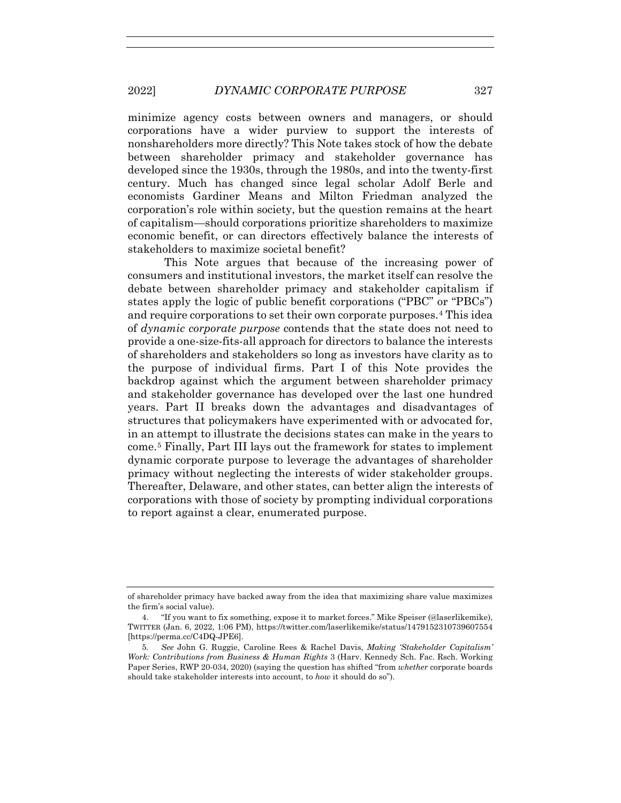minimize agency costs between owners and managers, or should corporations have a wider purview to support the interests of nonshareholders more directly? This Note takes stock of how the debate between shareholder primacy and stakeholder governance has developed since the 1930s, through the 1980s, and into the twenty-first century. Much has changed since legal scholar Adolf Berle and economists Gardiner Means and Milton Friedman analyzed the corporation's role within society, but the question remains at the heart of capitalism—should corporations prioritize shareholders to maximize economic benefit, or can directors effectively balance the interests of stakeholders to maximize societal benefit?

This Note argues that because of the increasing power of consumers and institutional investors, the market itself can resolve the debate between shareholder primacy and stakeholder capitalism if states apply the logic of public benefit corporations ("PBC" or "PBCs") and require corporations to set their own corporate purposes.4 This idea of *dynamic corporate purpose* contends that the state does not need to provide a one-size-fits-all approach for directors to balance the interests of shareholders and stakeholders so long as investors have clarity as to the purpose of individual firms. Part I of this Note provides the backdrop against which the argument between shareholder primacy and stakeholder governance has developed over the last one hundred years. Part II breaks down the advantages and disadvantages of structures that policymakers have experimented with or advocated for, in an attempt to illustrate the decisions states can make in the years to come.5 Finally, Part III lays out the framework for states to implement dynamic corporate purpose to leverage the advantages of shareholder primacy without neglecting the interests of wider stakeholder groups. Thereafter, Delaware, and other states, can better align the interests of corporations with those of society by prompting individual corporations to report against a clear, enumerated purpose.

of shareholder primacy have backed away from the idea that maximizing share value maximizes the firm's social value).

<sup>4. &</sup>quot;If you want to fix something, expose it to market forces." Mike Speiser (@laserlikemike), TWITTER (Jan. 6, 2022, 1:06 PM), https://twitter.com/laserlikemike/status/1479152310739607554 [https://perma.cc/C4DQ-JPE6].

<sup>5</sup>*. See* John G. Ruggie, Caroline Rees & Rachel Davis, *Making 'Stakeholder Capitalism' Work: Contributions from Business & Human Rights* 3 (Harv. Kennedy Sch. Fac. Rsch. Working Paper Series, RWP 20-034, 2020) (saying the question has shifted "from *whether* corporate boards should take stakeholder interests into account, to *how* it should do so").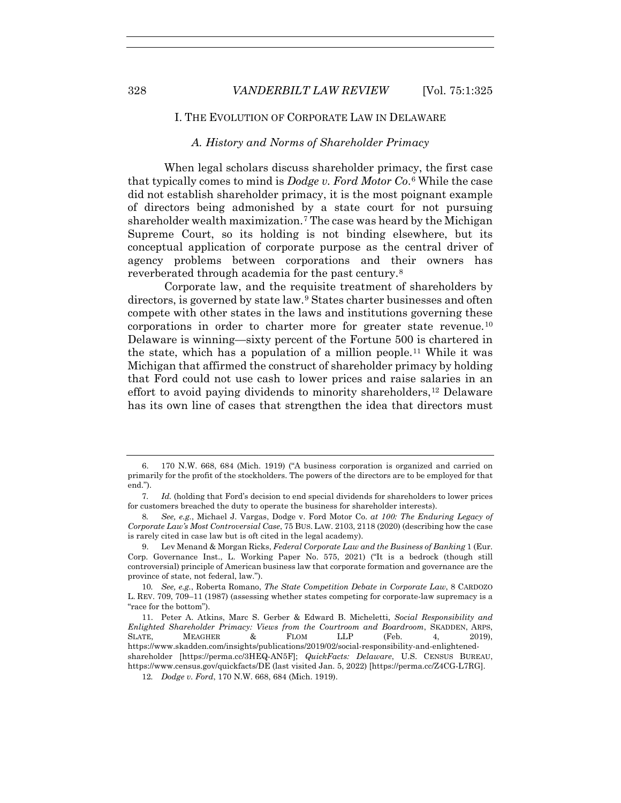# I. THE EVOLUTION OF CORPORATE LAW IN DELAWARE

## *A. History and Norms of Shareholder Primacy*

When legal scholars discuss shareholder primacy, the first case that typically comes to mind is *Dodge v. Ford Motor Co*.6 While the case did not establish shareholder primacy, it is the most poignant example of directors being admonished by a state court for not pursuing shareholder wealth maximization.7 The case was heard by the Michigan Supreme Court, so its holding is not binding elsewhere, but its conceptual application of corporate purpose as the central driver of agency problems between corporations and their owners has reverberated through academia for the past century.8

Corporate law, and the requisite treatment of shareholders by directors, is governed by state law.<sup>9</sup> States charter businesses and often compete with other states in the laws and institutions governing these corporations in order to charter more for greater state revenue.10 Delaware is winning—sixty percent of the Fortune 500 is chartered in the state, which has a population of a million people.11 While it was Michigan that affirmed the construct of shareholder primacy by holding that Ford could not use cash to lower prices and raise salaries in an effort to avoid paying dividends to minority shareholders,12 Delaware has its own line of cases that strengthen the idea that directors must

 <sup>6. 170</sup> N.W. 668, 684 (Mich. 1919) ("A business corporation is organized and carried on primarily for the profit of the stockholders. The powers of the directors are to be employed for that end.").

<sup>7</sup>*. Id.* (holding that Ford's decision to end special dividends for shareholders to lower prices for customers breached the duty to operate the business for shareholder interests).

<sup>8</sup>*. See, e.g.*, Michael J. Vargas, Dodge v. Ford Motor Co. *at 100: The Enduring Legacy of Corporate Law's Most Controversial Case*, 75 BUS. LAW. 2103, 2118 (2020) (describing how the case is rarely cited in case law but is oft cited in the legal academy).

 <sup>9.</sup> Lev Menand & Morgan Ricks, *Federal Corporate Law and the Business of Banking* 1 (Eur. Corp. Governance Inst., L. Working Paper No. 575, 2021) ("It is a bedrock (though still controversial) principle of American business law that corporate formation and governance are the province of state, not federal, law.").

<sup>10</sup>*. See, e.g.*, Roberta Romano, *The State Competition Debate in Corporate Law*, 8 CARDOZO L. REV. 709, 709–11 (1987) (assessing whether states competing for corporate-law supremacy is a "race for the bottom").

 <sup>11.</sup> Peter A. Atkins, Marc S. Gerber & Edward B. Micheletti, *Social Responsibility and Enlighted Shareholder Primacy: Views from the Courtroom and Boardroom*, SKADDEN, ARPS, SLATE, MEAGHER & FLOM LLP (Feb. 4, 2019), https://www.skadden.com/insights/publications/2019/02/social-responsibility-and-enlightenedshareholder [https://perma.cc/3HEQ-AN5F]; *QuickFacts: Delaware*, U.S. CENSUS BUREAU, https://www.census.gov/quickfacts/DE (last visited Jan. 5, 2022) [https://perma.cc/Z4CG-L7RG].

<sup>12</sup>*. Dodge v. Ford*, 170 N.W. 668, 684 (Mich. 1919).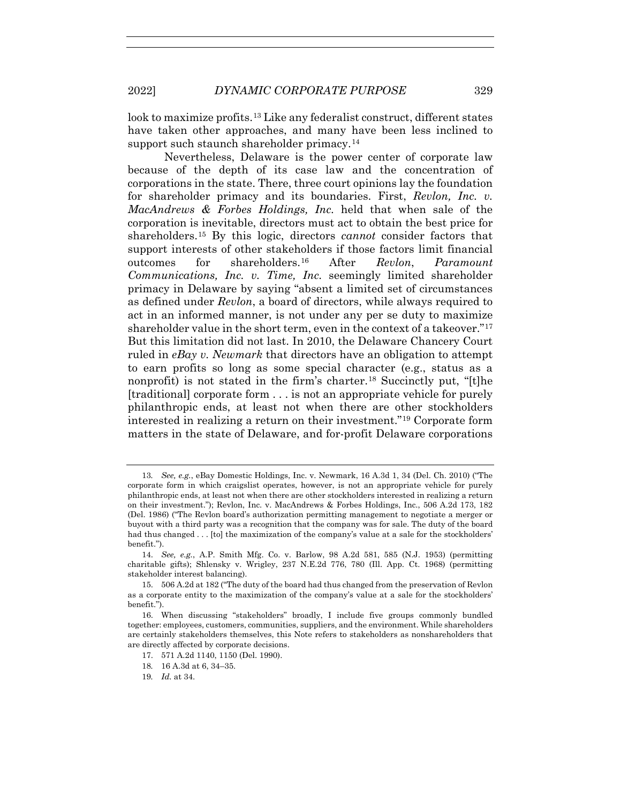look to maximize profits.13 Like any federalist construct, different states have taken other approaches, and many have been less inclined to support such staunch shareholder primacy.<sup>14</sup>

Nevertheless, Delaware is the power center of corporate law because of the depth of its case law and the concentration of corporations in the state. There, three court opinions lay the foundation for shareholder primacy and its boundaries. First, *Revlon, Inc. v. MacAndrews & Forbes Holdings, Inc.* held that when sale of the corporation is inevitable, directors must act to obtain the best price for shareholders.15 By this logic, directors *cannot* consider factors that support interests of other stakeholders if those factors limit financial outcomes for shareholders.16 After *Revlon*, *Paramount Communications, Inc. v. Time, Inc.* seemingly limited shareholder primacy in Delaware by saying "absent a limited set of circumstances as defined under *Revlon*, a board of directors, while always required to act in an informed manner, is not under any per se duty to maximize shareholder value in the short term, even in the context of a takeover."<sup>17</sup> But this limitation did not last. In 2010, the Delaware Chancery Court ruled in *eBay v. Newmark* that directors have an obligation to attempt to earn profits so long as some special character (e.g., status as a nonprofit) is not stated in the firm's charter.<sup>18</sup> Succinctly put, "[t]he [traditional] corporate form . . . is not an appropriate vehicle for purely philanthropic ends, at least not when there are other stockholders interested in realizing a return on their investment."19 Corporate form matters in the state of Delaware, and for-profit Delaware corporations

<sup>13</sup>*. See, e.g.*, eBay Domestic Holdings, Inc. v. Newmark, 16 A.3d 1, 34 (Del. Ch. 2010) ("The corporate form in which craigslist operates, however, is not an appropriate vehicle for purely philanthropic ends, at least not when there are other stockholders interested in realizing a return on their investment."); Revlon, Inc. v. MacAndrews & Forbes Holdings, Inc., 506 A.2d 173, 182 (Del. 1986) ("The Revlon board's authorization permitting management to negotiate a merger or buyout with a third party was a recognition that the company was for sale. The duty of the board had thus changed . . . [to] the maximization of the company's value at a sale for the stockholders' benefit.").

 <sup>14.</sup> *See, e.g.*, A.P. Smith Mfg. Co. v. Barlow, 98 A.2d 581, 585 (N.J. 1953) (permitting charitable gifts); Shlensky v. Wrigley, 237 N.E.2d 776, 780 (Ill. App. Ct. 1968) (permitting stakeholder interest balancing).

 <sup>15. 506</sup> A.2d at 182 ("The duty of the board had thus changed from the preservation of Revlon as a corporate entity to the maximization of the company's value at a sale for the stockholders' benefit.").

 <sup>16.</sup> When discussing "stakeholders" broadly, I include five groups commonly bundled together: employees, customers, communities, suppliers, and the environment. While shareholders are certainly stakeholders themselves, this Note refers to stakeholders as nonshareholders that are directly affected by corporate decisions.

 <sup>17. 571</sup> A.2d 1140, 1150 (Del. 1990).

<sup>18</sup>*.* 16 A.3d at 6, 34–35.

<sup>19</sup>*. Id.* at 34.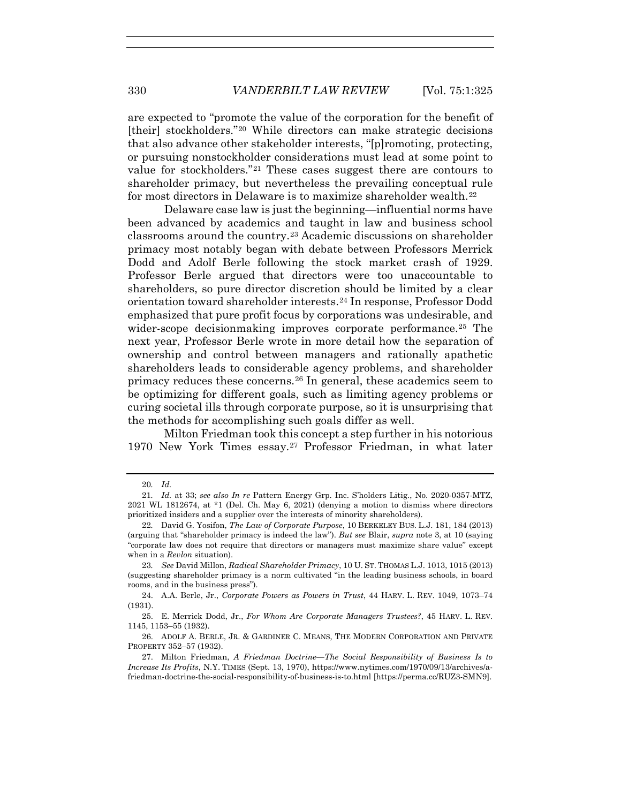are expected to "promote the value of the corporation for the benefit of [their] stockholders."<sup>20</sup> While directors can make strategic decisions that also advance other stakeholder interests, "[p]romoting, protecting, or pursuing nonstockholder considerations must lead at some point to value for stockholders."21 These cases suggest there are contours to shareholder primacy, but nevertheless the prevailing conceptual rule for most directors in Delaware is to maximize shareholder wealth.22

Delaware case law is just the beginning—influential norms have been advanced by academics and taught in law and business school classrooms around the country.23 Academic discussions on shareholder primacy most notably began with debate between Professors Merrick Dodd and Adolf Berle following the stock market crash of 1929. Professor Berle argued that directors were too unaccountable to shareholders, so pure director discretion should be limited by a clear orientation toward shareholder interests.24 In response, Professor Dodd emphasized that pure profit focus by corporations was undesirable, and wider-scope decisionmaking improves corporate performance.<sup>25</sup> The next year, Professor Berle wrote in more detail how the separation of ownership and control between managers and rationally apathetic shareholders leads to considerable agency problems, and shareholder primacy reduces these concerns.26 In general, these academics seem to be optimizing for different goals, such as limiting agency problems or curing societal ills through corporate purpose, so it is unsurprising that the methods for accomplishing such goals differ as well.

Milton Friedman took this concept a step further in his notorious 1970 New York Times essay.27 Professor Friedman, in what later

<sup>20</sup>*. Id.*

<sup>21</sup>*. Id.* at 33; *see also In re* Pattern Energy Grp. Inc. S'holders Litig., No. 2020-0357-MTZ, 2021 WL 1812674, at \*1 (Del. Ch. May 6, 2021) (denying a motion to dismiss where directors prioritized insiders and a supplier over the interests of minority shareholders).

<sup>22</sup>*.* David G. Yosifon, *The Law of Corporate Purpose*, 10 BERKELEY BUS. L.J. 181, 184 (2013) (arguing that "shareholder primacy is indeed the law"). *But see* Blair, *supra* note 3, at 10 (saying "corporate law does not require that directors or managers must maximize share value" except when in a *Revlon* situation).

<sup>23</sup>*. See* David Millon, *Radical Shareholder Primacy*, 10 U. ST. THOMAS L.J. 1013, 1015 (2013) (suggesting shareholder primacy is a norm cultivated "in the leading business schools, in board rooms, and in the business press").

 <sup>24.</sup> A.A. Berle, Jr., *Corporate Powers as Powers in Trust*, 44 HARV. L. REV. 1049, 1073–74 (1931).

 <sup>25.</sup> E. Merrick Dodd, Jr., *For Whom Are Corporate Managers Trustees?*, 45 HARV. L. REV. 1145, 1153–55 (1932).

 <sup>26.</sup> ADOLF A. BERLE, JR. & GARDINER C. MEANS, THE MODERN CORPORATION AND PRIVATE PROPERTY 352–57 (1932).

 <sup>27.</sup> Milton Friedman, *A Friedman Doctrine—The Social Responsibility of Business Is to Increase Its Profits*, N.Y. TIMES (Sept. 13, 1970), https://www.nytimes.com/1970/09/13/archives/afriedman-doctrine-the-social-responsibility-of-business-is-to.html [https://perma.cc/RUZ3-SMN9].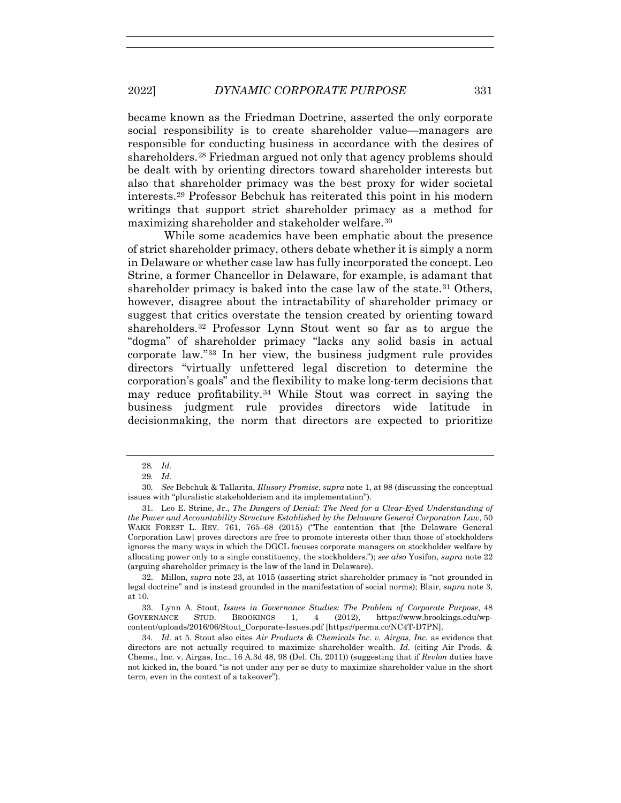became known as the Friedman Doctrine, asserted the only corporate social responsibility is to create shareholder value—managers are responsible for conducting business in accordance with the desires of shareholders.28 Friedman argued not only that agency problems should be dealt with by orienting directors toward shareholder interests but also that shareholder primacy was the best proxy for wider societal interests.29 Professor Bebchuk has reiterated this point in his modern writings that support strict shareholder primacy as a method for maximizing shareholder and stakeholder welfare.30

While some academics have been emphatic about the presence of strict shareholder primacy, others debate whether it is simply a norm in Delaware or whether case law has fully incorporated the concept. Leo Strine, a former Chancellor in Delaware, for example, is adamant that shareholder primacy is baked into the case law of the state.31 Others, however, disagree about the intractability of shareholder primacy or suggest that critics overstate the tension created by orienting toward shareholders.32 Professor Lynn Stout went so far as to argue the "dogma" of shareholder primacy "lacks any solid basis in actual corporate law."33 In her view, the business judgment rule provides directors "virtually unfettered legal discretion to determine the corporation's goals" and the flexibility to make long-term decisions that may reduce profitability.34 While Stout was correct in saying the business judgment rule provides directors wide latitude in decisionmaking, the norm that directors are expected to prioritize

<sup>28</sup>*. Id.*

<sup>29</sup>*. Id.*

<sup>30</sup>*. See* Bebchuk & Tallarita, *Illusory Promise*, *supra* note 1, at 98 (discussing the conceptual issues with "pluralistic stakeholderism and its implementation").

 <sup>31.</sup> Leo E. Strine, Jr., *The Dangers of Denial: The Need for a Clear-Eyed Understanding of the Power and Accountability Structure Established by the Delaware General Corporation Law*, 50 WAKE FOREST L. REV. 761, 765–68 (2015) ("The contention that [the Delaware General Corporation Law] proves directors are free to promote interests other than those of stockholders ignores the many ways in which the DGCL focuses corporate managers on stockholder welfare by allocating power only to a single constituency, the stockholders."); *see also* Yosifon, *supra* note 22 (arguing shareholder primacy is the law of the land in Delaware).

 <sup>32.</sup> Millon, *supra* note 23, at 1015 (asserting strict shareholder primacy is "not grounded in legal doctrine" and is instead grounded in the manifestation of social norms); Blair, *supra* note 3, at 10.

 <sup>33.</sup> Lynn A. Stout, *Issues in Governance Studies: The Problem of Corporate Purpose*, 48 GOVERNANCE STUD. BROOKINGS 1, 4 (2012), https://www.brookings.edu/wpcontent/uploads/2016/06/Stout\_Corporate-Issues.pdf [https://perma.cc/NC4T-D7PN].

<sup>34</sup>*. Id.* at 5. Stout also cites *Air Products & Chemicals Inc. v. Airgas, Inc.* as evidence that directors are not actually required to maximize shareholder wealth. *Id.* (citing Air Prods. & Chems., Inc. v. Airgas, Inc., 16 A.3d 48, 98 (Del. Ch. 2011)) (suggesting that if *Revlon* duties have not kicked in, the board "is not under any per se duty to maximize shareholder value in the short term, even in the context of a takeover").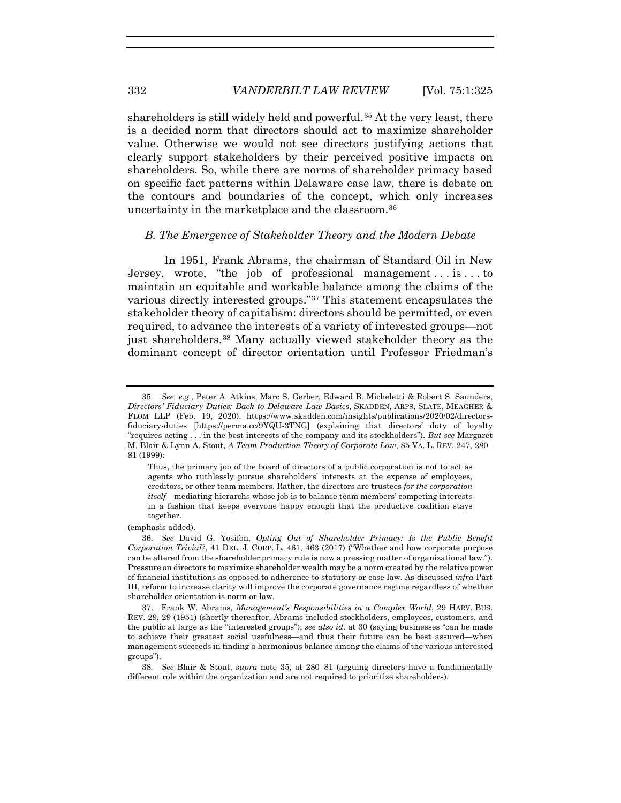shareholders is still widely held and powerful.<sup>35</sup> At the very least, there is a decided norm that directors should act to maximize shareholder value. Otherwise we would not see directors justifying actions that clearly support stakeholders by their perceived positive impacts on shareholders. So, while there are norms of shareholder primacy based on specific fact patterns within Delaware case law, there is debate on the contours and boundaries of the concept, which only increases uncertainty in the marketplace and the classroom.36

#### *B. The Emergence of Stakeholder Theory and the Modern Debate*

In 1951, Frank Abrams, the chairman of Standard Oil in New Jersey, wrote, "the job of professional management . . . is . . . to maintain an equitable and workable balance among the claims of the various directly interested groups."37 This statement encapsulates the stakeholder theory of capitalism: directors should be permitted, or even required, to advance the interests of a variety of interested groups—not just shareholders.38 Many actually viewed stakeholder theory as the dominant concept of director orientation until Professor Friedman's

Thus, the primary job of the board of directors of a public corporation is not to act as agents who ruthlessly pursue shareholders' interests at the expense of employees, creditors, or other team members. Rather, the directors are trustees *for the corporation itself*—mediating hierarchs whose job is to balance team members' competing interests in a fashion that keeps everyone happy enough that the productive coalition stays together.

(emphasis added).

<sup>35</sup>*. See, e.g.*, Peter A. Atkins, Marc S. Gerber, Edward B. Micheletti & Robert S. Saunders, *Directors' Fiduciary Duties: Back to Delaware Law Basics*, SKADDEN, ARPS, SLATE, MEAGHER & FLOM LLP (Feb. 19, 2020), https://www.skadden.com/insights/publications/2020/02/directorsfiduciary-duties [https://perma.cc/9YQU-3TNG] (explaining that directors' duty of loyalty "requires acting . . . in the best interests of the company and its stockholders"). *But see* Margaret M. Blair & Lynn A. Stout, *A Team Production Theory of Corporate Law*, 85 VA. L. REV. 247, 280– 81 (1999):

 <sup>36.</sup> *See* David G. Yosifon, *Opting Out of Shareholder Primacy: Is the Public Benefit Corporation Trivial?*, 41 DEL. J. CORP. L. 461, 463 (2017) ("Whether and how corporate purpose can be altered from the shareholder primacy rule is now a pressing matter of organizational law."). Pressure on directors to maximize shareholder wealth may be a norm created by the relative power of financial institutions as opposed to adherence to statutory or case law. As discussed *infra* Part III, reform to increase clarity will improve the corporate governance regime regardless of whether shareholder orientation is norm or law.

 <sup>37.</sup> Frank W. Abrams, *Management's Responsibilities in a Complex World*, 29 HARV. BUS. REV. 29, 29 (1951) (shortly thereafter, Abrams included stockholders, employees, customers, and the public at large as the "interested groups"); *see also id.* at 30 (saying businesses "can be made to achieve their greatest social usefulness—and thus their future can be best assured—when management succeeds in finding a harmonious balance among the claims of the various interested groups").

<sup>38</sup>*. See* Blair & Stout, *supra* note 35, at 280–81 (arguing directors have a fundamentally different role within the organization and are not required to prioritize shareholders).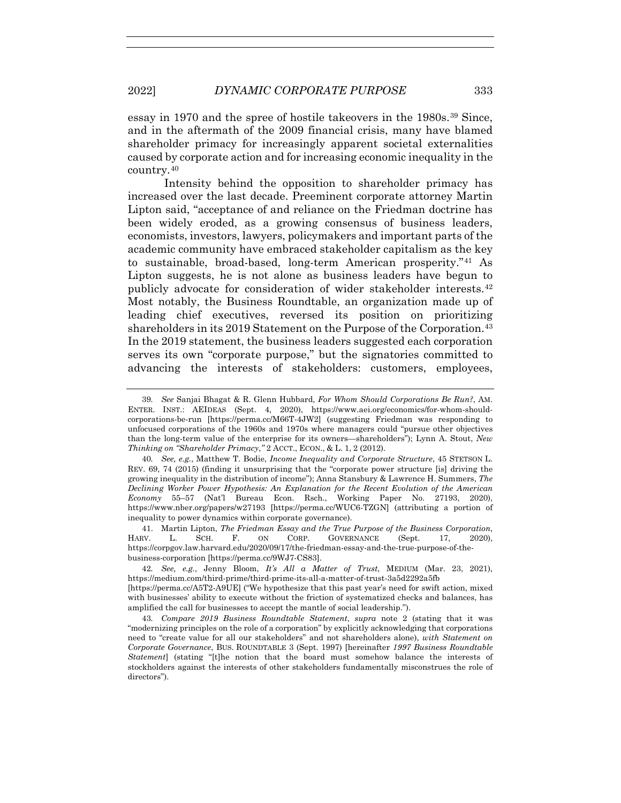essay in 1970 and the spree of hostile takeovers in the 1980s.39 Since, and in the aftermath of the 2009 financial crisis, many have blamed shareholder primacy for increasingly apparent societal externalities caused by corporate action and for increasing economic inequality in the country.40

Intensity behind the opposition to shareholder primacy has increased over the last decade. Preeminent corporate attorney Martin Lipton said, "acceptance of and reliance on the Friedman doctrine has been widely eroded, as a growing consensus of business leaders, economists, investors, lawyers, policymakers and important parts of the academic community have embraced stakeholder capitalism as the key to sustainable, broad-based, long-term American prosperity."41 As Lipton suggests, he is not alone as business leaders have begun to publicly advocate for consideration of wider stakeholder interests.42 Most notably, the Business Roundtable, an organization made up of leading chief executives, reversed its position on prioritizing shareholders in its 2019 Statement on the Purpose of the Corporation.<sup>43</sup> In the 2019 statement, the business leaders suggested each corporation serves its own "corporate purpose," but the signatories committed to advancing the interests of stakeholders: customers, employees,

 41. Martin Lipton, *The Friedman Essay and the True Purpose of the Business Corporation*, HARV. L. SCH. F. ON CORP. GOVERNANCE (Sept. 17, 2020), https://corpgov.law.harvard.edu/2020/09/17/the-friedman-essay-and-the-true-purpose-of-thebusiness-corporation [https://perma.cc/9WJ7-CS83].

42*. See, e.g.*, Jenny Bloom, *It's All a Matter of Trust*, MEDIUM (Mar. 23, 2021), https://medium.com/third-prime/third-prime-its-all-a-matter-of-trust-3a5d2292a5fb [https://perma.cc/A5T2-A9UE] ("We hypothesize that this past year's need for swift action, mixed with businesses' ability to execute without the friction of systematized checks and balances, has amplified the call for businesses to accept the mantle of social leadership.").

43*. Compare 2019 Business Roundtable Statement*, *supra* note 2 (stating that it was "modernizing principles on the role of a corporation" by explicitly acknowledging that corporations need to "create value for all our stakeholders" and not shareholders alone), *with Statement on Corporate Governance*, BUS. ROUNDTABLE 3 (Sept. 1997) [hereinafter *1997 Business Roundtable Statement*] (stating "[t]he notion that the board must somehow balance the interests of stockholders against the interests of other stakeholders fundamentally misconstrues the role of directors").

<sup>39</sup>*. See* Sanjai Bhagat & R. Glenn Hubbard, *For Whom Should Corporations Be Run?*, AM. ENTER. INST.: AEIDEAS (Sept. 4, 2020), https://www.aei.org/economics/for-whom-shouldcorporations-be-run [https://perma.cc/M66T-4JW2] (suggesting Friedman was responding to unfocused corporations of the 1960s and 1970s where managers could "pursue other objectives than the long-term value of the enterprise for its owners—shareholders"); Lynn A. Stout, *New Thinking on "Shareholder Primacy,"* 2 ACCT., ECON., & L. 1, 2 (2012).

<sup>40</sup>*. See, e.g.*, Matthew T. Bodie, *Income Inequality and Corporate Structure*, 45 STETSON L. REV. 69, 74 (2015) (finding it unsurprising that the "corporate power structure [is] driving the growing inequality in the distribution of income"); Anna Stansbury & Lawrence H. Summers, *The Declining Worker Power Hypothesis: An Explanation for the Recent Evolution of the American Economy* 55–57 (Nat'l Bureau Econ. Rsch., Working Paper No. 27193, 2020), https://www.nber.org/papers/w27193 [https://perma.cc/WUC6-TZGN] (attributing a portion of inequality to power dynamics within corporate governance).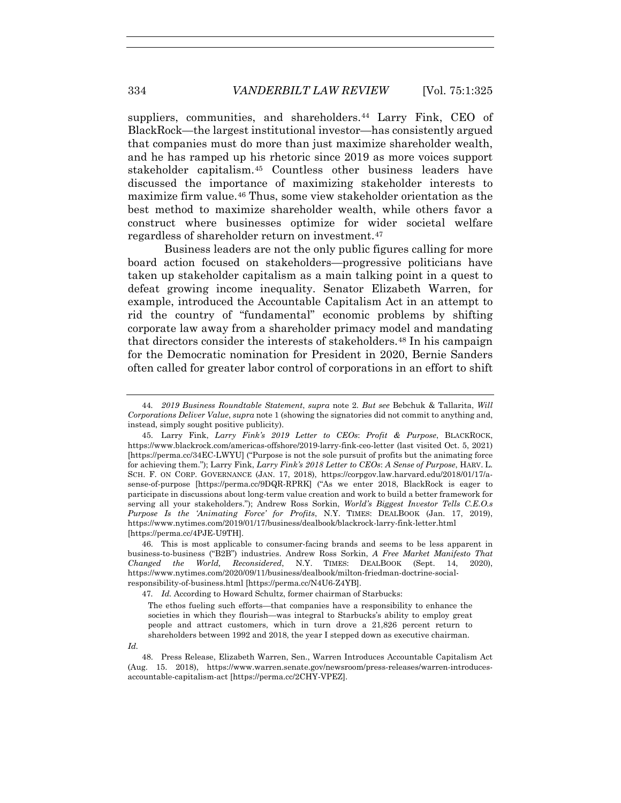suppliers, communities, and shareholders.<sup>44</sup> Larry Fink, CEO of BlackRock—the largest institutional investor—has consistently argued that companies must do more than just maximize shareholder wealth, and he has ramped up his rhetoric since 2019 as more voices support stakeholder capitalism.45 Countless other business leaders have discussed the importance of maximizing stakeholder interests to maximize firm value.46 Thus, some view stakeholder orientation as the best method to maximize shareholder wealth, while others favor a construct where businesses optimize for wider societal welfare regardless of shareholder return on investment.47

Business leaders are not the only public figures calling for more board action focused on stakeholders—progressive politicians have taken up stakeholder capitalism as a main talking point in a quest to defeat growing income inequality. Senator Elizabeth Warren, for example, introduced the Accountable Capitalism Act in an attempt to rid the country of "fundamental" economic problems by shifting corporate law away from a shareholder primacy model and mandating that directors consider the interests of stakeholders.<sup>48</sup> In his campaign for the Democratic nomination for President in 2020, Bernie Sanders often called for greater labor control of corporations in an effort to shift

47*. Id.* According to Howard Schultz, former chairman of Starbucks:

The ethos fueling such efforts—that companies have a responsibility to enhance the societies in which they flourish—was integral to Starbucks's ability to employ great people and attract customers, which in turn drove a 21,826 percent return to shareholders between 1992 and 2018, the year I stepped down as executive chairman.

<sup>44</sup>*. 2019 Business Roundtable Statement*, *supra* note 2*. But see* Bebchuk & Tallarita, *Will Corporations Deliver Value*, *supra* note 1 (showing the signatories did not commit to anything and, instead, simply sought positive publicity).

 <sup>45.</sup> Larry Fink, *Larry Fink's 2019 Letter to CEOs*: *Profit & Purpose*, BLACKROCK, https://www.blackrock.com/americas-offshore/2019-larry-fink-ceo-letter (last visited Oct. 5, 2021) [https://perma.cc/34EC-LWYU] ("Purpose is not the sole pursuit of profits but the animating force for achieving them."); Larry Fink, *Larry Fink's 2018 Letter to CEOs*: *A Sense of Purpose*, HARV. L. SCH. F. ON CORP. GOVERNANCE (JAN. 17, 2018), https://corpgov.law.harvard.edu/2018/01/17/asense-of-purpose [https://perma.cc/9DQR-RPRK] ("As we enter 2018, BlackRock is eager to participate in discussions about long-term value creation and work to build a better framework for serving all your stakeholders."); Andrew Ross Sorkin, *World's Biggest Investor Tells C.E.O.s Purpose Is the 'Animating Force' for Profits*, N.Y. TIMES: DEALBOOK (Jan. 17, 2019), https://www.nytimes.com/2019/01/17/business/dealbook/blackrock-larry-fink-letter.html [https://perma.cc/4PJE-U9TH].

 <sup>46.</sup> This is most applicable to consumer-facing brands and seems to be less apparent in business-to-business ("B2B") industries. Andrew Ross Sorkin, *A Free Market Manifesto That Changed the World, Reconsidered*, N.Y. TIMES: DEALBOOK (Sept. 14, 2020), https://www.nytimes.com/2020/09/11/business/dealbook/milton-friedman-doctrine-socialresponsibility-of-business.html [https://perma.cc/N4U6-Z4YB].

*Id.*

 <sup>48.</sup> Press Release, Elizabeth Warren, Sen., Warren Introduces Accountable Capitalism Act (Aug. 15. 2018), https://www.warren.senate.gov/newsroom/press-releases/warren-introducesaccountable-capitalism-act [https://perma.cc/2CHY-VPEZ].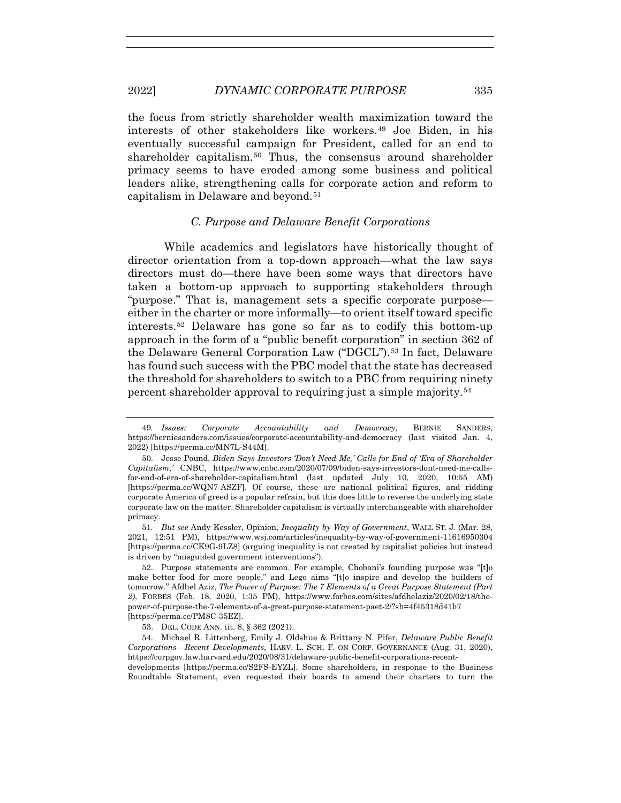the focus from strictly shareholder wealth maximization toward the interests of other stakeholders like workers.49 Joe Biden, in his eventually successful campaign for President, called for an end to shareholder capitalism.50 Thus, the consensus around shareholder primacy seems to have eroded among some business and political leaders alike, strengthening calls for corporate action and reform to capitalism in Delaware and beyond.<sup>51</sup>

## *C. Purpose and Delaware Benefit Corporations*

While academics and legislators have historically thought of director orientation from a top-down approach—what the law says directors must do—there have been some ways that directors have taken a bottom-up approach to supporting stakeholders through "purpose." That is, management sets a specific corporate purpose either in the charter or more informally—to orient itself toward specific interests.52 Delaware has gone so far as to codify this bottom-up approach in the form of a "public benefit corporation" in section 362 of the Delaware General Corporation Law ("DGCL").53 In fact, Delaware has found such success with the PBC model that the state has decreased the threshold for shareholders to switch to a PBC from requiring ninety percent shareholder approval to requiring just a simple majority.54

 52. Purpose statements are common. For example, Chobani's founding purpose was "[t]o make better food for more people," and Lego aims "[t]o inspire and develop the builders of tomorrow." Afdhel Aziz, *The Power of Purpose: The 7 Elements of a Great Purpose Statement (Part 2)*, FORBES (Feb. 18, 2020, 1:35 PM), https://www.forbes.com/sites/afdhelaziz/2020/02/18/thepower-of-purpose-the-7-elements-of-a-great-purpose-statement-paet-2/?sh=4f45318d41b7 [https://perma.cc/PM8C-35EZ].

developments [https://perma.cc/S2FS-EYZL]. Some shareholders, in response to the Business Roundtable Statement, even requested their boards to amend their charters to turn the

<sup>49</sup>*. Issues: Corporate Accountability and Democracy*, BERNIE SANDERS, https://berniesanders.com/issues/corporate-accountability-and-democracy (last visited Jan. 4, 2022) [https://perma.cc/MN7L-S44M].

 <sup>50.</sup> Jesse Pound, *Biden Says Investors 'Don't Need Me,' Calls for End of 'Era of Shareholder Capitalism*,*'* CNBC, https://www.cnbc.com/2020/07/09/biden-says-investors-dont-need-me-callsfor-end-of-era-of-shareholder-capitalism.html (last updated July 10, 2020, 10:55 AM) [https://perma.cc/WQN7-ASZF]. Of course, these are national political figures, and ridding corporate America of greed is a popular refrain, but this does little to reverse the underlying state corporate law on the matter. Shareholder capitalism is virtually interchangeable with shareholder primacy.

<sup>51</sup>*. But see* Andy Kessler, Opinion, *Inequality by Way of Government*, WALL ST. J. (Mar. 28, 2021, 12:51 PM), https://www.wsj.com/articles/inequality-by-way-of-government-11616950304 [https://perma.cc/CK9G-9LZ8] (arguing inequality is not created by capitalist policies but instead is driven by "misguided government interventions").

 <sup>53.</sup> DEL. CODE ANN. tit. 8, § 362 (2021).

 <sup>54.</sup> Michael R. Littenberg, Emily J. Oldshue & Brittany N. Pifer, *Delaware Public Benefit Corporations—Recent Developments*, HARV. L. SCH. F. ON CORP. GOVERNANCE (Aug. 31, 2020), https://corpgov.law.harvard.edu/2020/08/31/delaware-public-benefit-corporations-recent-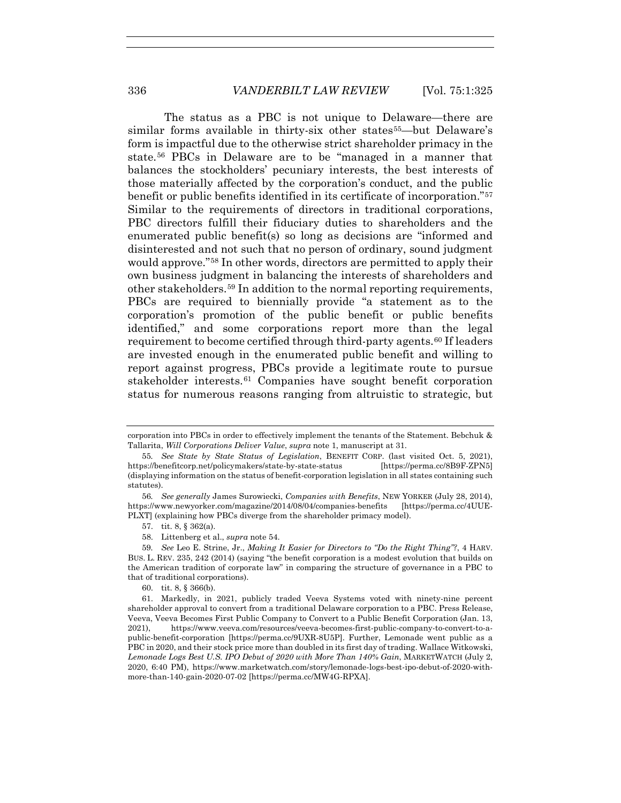The status as a PBC is not unique to Delaware—there are similar forms available in thirty-six other states<sup>55</sup>—but Delaware's form is impactful due to the otherwise strict shareholder primacy in the state.56 PBCs in Delaware are to be "managed in a manner that balances the stockholders' pecuniary interests, the best interests of those materially affected by the corporation's conduct, and the public benefit or public benefits identified in its certificate of incorporation."57 Similar to the requirements of directors in traditional corporations, PBC directors fulfill their fiduciary duties to shareholders and the enumerated public benefit(s) so long as decisions are "informed and disinterested and not such that no person of ordinary, sound judgment would approve."58 In other words, directors are permitted to apply their own business judgment in balancing the interests of shareholders and other stakeholders.59 In addition to the normal reporting requirements, PBCs are required to biennially provide "a statement as to the corporation's promotion of the public benefit or public benefits identified," and some corporations report more than the legal requirement to become certified through third-party agents.<sup>60</sup> If leaders are invested enough in the enumerated public benefit and willing to report against progress, PBCs provide a legitimate route to pursue stakeholder interests.<sup>61</sup> Companies have sought benefit corporation status for numerous reasons ranging from altruistic to strategic, but

- 57. tit. 8, § 362(a).
- 58. Littenberg et al., *supra* note 54.

corporation into PBCs in order to effectively implement the tenants of the Statement. Bebchuk & Tallarita, *Will Corporations Deliver Value*, *supra* note 1, manuscript at 31.

<sup>55</sup>*. See State by State Status of Legislation*, BENEFIT CORP. (last visited Oct. 5, 2021), https://benefitcorp.net/policymakers/state-by-state-status [https://perma.cc/8B9F-ZPN5] (displaying information on the status of benefit-corporation legislation in all states containing such statutes).

<sup>56</sup>*. See generally* James Surowiecki, *Companies with Benefits*, NEW YORKER (July 28, 2014), https://www.newyorker.com/magazine/2014/08/04/companies-benefits [https://perma.cc/4UUE-PLXT] (explaining how PBCs diverge from the shareholder primacy model).

<sup>59</sup>*. See* Leo E. Strine, Jr., *Making It Easier for Directors to "Do the Right Thing"?*, 4 HARV. BUS. L. REV. 235, 242 (2014) (saying "the benefit corporation is a modest evolution that builds on the American tradition of corporate law" in comparing the structure of governance in a PBC to that of traditional corporations).

<sup>60.</sup> tit. 8, § 366(b).

 <sup>61.</sup> Markedly, in 2021, publicly traded Veeva Systems voted with ninety-nine percent shareholder approval to convert from a traditional Delaware corporation to a PBC. Press Release, Veeva, Veeva Becomes First Public Company to Convert to a Public Benefit Corporation (Jan. 13, 2021), https://www.veeva.com/resources/veeva-becomes-first-public-company-to-convert-to-apublic-benefit-corporation [https://perma.cc/9UXR-8U5P]. Further, Lemonade went public as a PBC in 2020, and their stock price more than doubled in its first day of trading. Wallace Witkowski, *Lemonade Logs Best U.S. IPO Debut of 2020 with More Than 140% Gain*, MARKETWATCH (July 2, 2020, 6:40 PM), https://www.marketwatch.com/story/lemonade-logs-best-ipo-debut-of-2020-withmore-than-140-gain-2020-07-02 [https://perma.cc/MW4G-RPXA].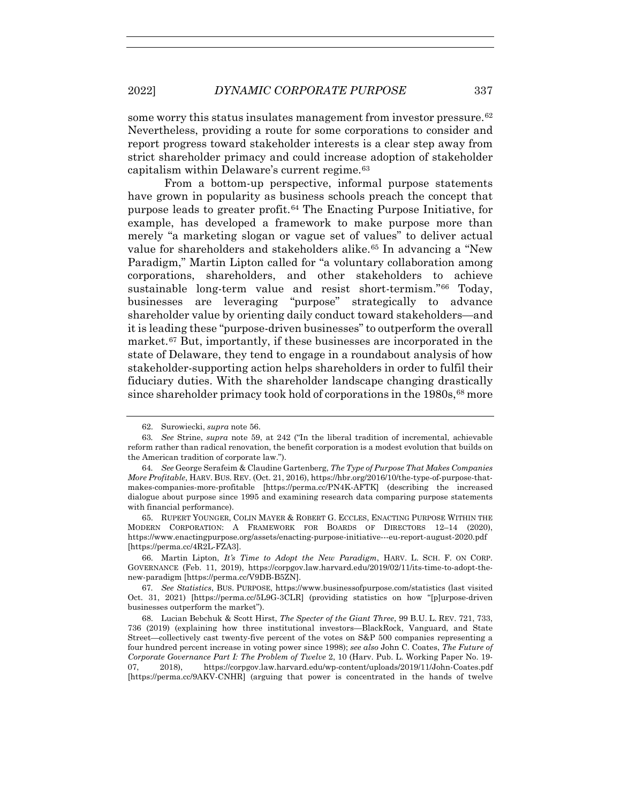some worry this status insulates management from investor pressure.<sup>62</sup> Nevertheless, providing a route for some corporations to consider and report progress toward stakeholder interests is a clear step away from strict shareholder primacy and could increase adoption of stakeholder capitalism within Delaware's current regime.63

From a bottom-up perspective, informal purpose statements have grown in popularity as business schools preach the concept that purpose leads to greater profit.64 The Enacting Purpose Initiative, for example, has developed a framework to make purpose more than merely "a marketing slogan or vague set of values" to deliver actual value for shareholders and stakeholders alike.65 In advancing a "New Paradigm," Martin Lipton called for "a voluntary collaboration among corporations, shareholders, and other stakeholders to achieve sustainable long-term value and resist short-termism."66 Today, businesses are leveraging "purpose" strategically to advance shareholder value by orienting daily conduct toward stakeholders—and it is leading these "purpose-driven businesses" to outperform the overall market.67 But, importantly, if these businesses are incorporated in the state of Delaware, they tend to engage in a roundabout analysis of how stakeholder-supporting action helps shareholders in order to fulfil their fiduciary duties. With the shareholder landscape changing drastically since shareholder primacy took hold of corporations in the 1980s, <sup>68</sup> more

 <sup>62.</sup> Surowiecki, *supra* note 56.

<sup>63</sup>*. See* Strine, *supra* note 59, at 242 ("In the liberal tradition of incremental, achievable reform rather than radical renovation, the benefit corporation is a modest evolution that builds on the American tradition of corporate law.").

<sup>64</sup>*. See* George Serafeim & Claudine Gartenberg, *The Type of Purpose That Makes Companies More Profitable*, HARV. BUS. REV. (Oct. 21, 2016), https://hbr.org/2016/10/the-type-of-purpose-thatmakes-companies-more-profitable [https://perma.cc/PN4K-AFTK] (describing the increased dialogue about purpose since 1995 and examining research data comparing purpose statements with financial performance).

 <sup>65.</sup> RUPERT YOUNGER, COLIN MAYER & ROBERT G. ECCLES, ENACTING PURPOSE WITHIN THE MODERN CORPORATION: A FRAMEWORK FOR BOARDS OF DIRECTORS 12–14 (2020), https://www.enactingpurpose.org/assets/enacting-purpose-initiative---eu-report-august-2020.pdf [https://perma.cc/4R2L-FZA3].

 <sup>66.</sup> Martin Lipton, *It's Time to Adopt the New Paradigm*, HARV. L. SCH. F. ON CORP. GOVERNANCE (Feb. 11, 2019), https://corpgov.law.harvard.edu/2019/02/11/its-time-to-adopt-thenew-paradigm [https://perma.cc/V9DB-B5ZN].

<sup>67</sup>*. See Statistics*, BUS. PURPOSE, https://www.businessofpurpose.com/statistics (last visited Oct. 31, 2021) [https://perma.cc/5L9G-3CLR] (providing statistics on how "[p]urpose-driven businesses outperform the market").

 <sup>68.</sup> Lucian Bebchuk & Scott Hirst, *The Specter of the Giant Three*, 99 B.U. L. REV. 721, 733, 736 (2019) (explaining how three institutional investors—BlackRock, Vanguard, and State Street—collectively cast twenty-five percent of the votes on S&P 500 companies representing a four hundred percent increase in voting power since 1998); *see also* John C. Coates, *The Future of Corporate Governance Part I: The Problem of Twelve* 2, 10 (Harv. Pub. L. Working Paper No. 19- 07, 2018), https://corpgov.law.harvard.edu/wp-content/uploads/2019/11/John-Coates.pdf [https://perma.cc/9AKV-CNHR] (arguing that power is concentrated in the hands of twelve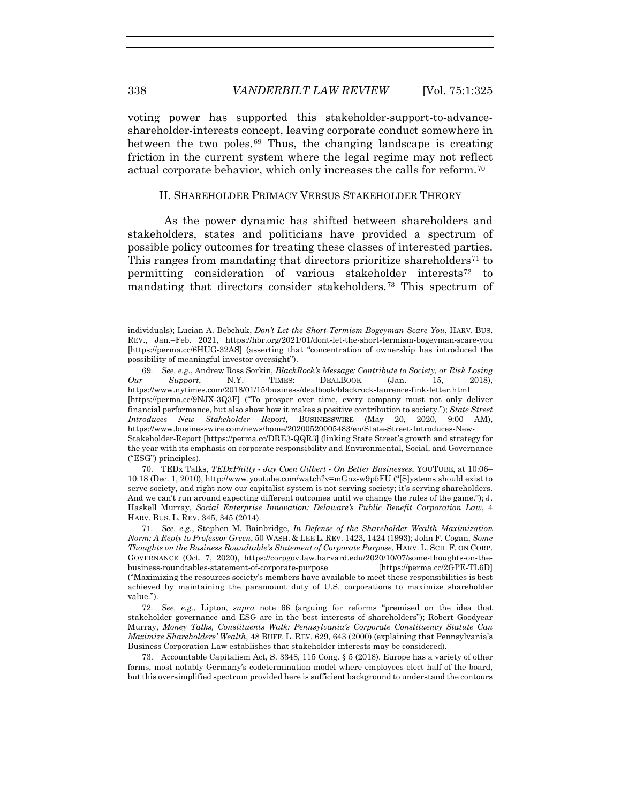voting power has supported this stakeholder-support-to-advanceshareholder-interests concept, leaving corporate conduct somewhere in between the two poles.69 Thus, the changing landscape is creating friction in the current system where the legal regime may not reflect actual corporate behavior, which only increases the calls for reform.70

### II. SHAREHOLDER PRIMACY VERSUS STAKEHOLDER THEORY

As the power dynamic has shifted between shareholders and stakeholders, states and politicians have provided a spectrum of possible policy outcomes for treating these classes of interested parties. This ranges from mandating that directors prioritize shareholders<sup> $71$ </sup> to permitting consideration of various stakeholder interests<sup>72</sup> to mandating that directors consider stakeholders.73 This spectrum of

individuals); Lucian A. Bebchuk, *Don't Let the Short-Termism Bogeyman Scare You*, HARV. BUS. REV., Jan.–Feb. 2021, https://hbr.org/2021/01/dont-let-the-short-termism-bogeyman-scare-you [https://perma.cc/6HUG-32AS] (asserting that "concentration of ownership has introduced the possibility of meaningful investor oversight").

<sup>69</sup>*. See, e.g.*, Andrew Ross Sorkin, *BlackRock's Message: Contribute to Society, or Risk Losing Our Support*, N.Y. TIMES: DEALBOOK (Jan. 15, 2018), https://www.nytimes.com/2018/01/15/business/dealbook/blackrock-laurence-fink-letter.html [https://perma.cc/9NJX-3Q3F] ("To prosper over time, every company must not only deliver financial performance, but also show how it makes a positive contribution to society."); *State Street Introduces New Stakeholder Report*, BUSINESSWIRE (May 20, 2020, 9:00 AM), https://www.businesswire.com/news/home/20200520005483/en/State-Street-Introduces-New-Stakeholder-Report [https://perma.cc/DRE3-QQR3] (linking State Street's growth and strategy for the year with its emphasis on corporate responsibility and Environmental, Social, and Governance ("ESG") principles).

 <sup>70.</sup> TEDx Talks, *TEDxPhilly - Jay Coen Gilbert - On Better Businesses*, YOUTUBE, at 10:06– 10:18 (Dec. 1, 2010), http://www.youtube.com/watch?v=mGnz-w9p5FU ("[S]ystems should exist to serve society, and right now our capitalist system is not serving society; it's serving shareholders. And we can't run around expecting different outcomes until we change the rules of the game."); J. Haskell Murray, *Social Enterprise Innovation: Delaware's Public Benefit Corporation Law*, 4 HARV. BUS. L. REV. 345, 345 (2014).

<sup>71</sup>*. See, e.g.*, Stephen M. Bainbridge, *In Defense of the Shareholder Wealth Maximization Norm: A Reply to Professor Green*, 50 WASH. & LEE L. REV. 1423, 1424 (1993); John F. Cogan, *Some Thoughts on the Business Roundtable's Statement of Corporate Purpose*, HARV. L. SCH. F. ON CORP. GOVERNANCE (Oct. 7, 2020), https://corpgov.law.harvard.edu/2020/10/07/some-thoughts-on-thebusiness-roundtables-statement-of-corporate-purpose [https://perma.cc/2GPE-TL6D] ("Maximizing the resources society's members have available to meet these responsibilities is best achieved by maintaining the paramount duty of U.S. corporations to maximize shareholder value.").

<sup>72</sup>*. See, e.g.*, Lipton, *supra* note 66 (arguing for reforms "premised on the idea that stakeholder governance and ESG are in the best interests of shareholders"); Robert Goodyear Murray, *Money Talks, Constituents Walk: Pennsylvania's Corporate Constituency Statute Can Maximize Shareholders' Wealth*, 48 BUFF. L. REV. 629, 643 (2000) (explaining that Pennsylvania's Business Corporation Law establishes that stakeholder interests may be considered).

 <sup>73.</sup> Accountable Capitalism Act, S. 3348, 115 Cong. § 5 (2018). Europe has a variety of other forms, most notably Germany's codetermination model where employees elect half of the board, but this oversimplified spectrum provided here is sufficient background to understand the contours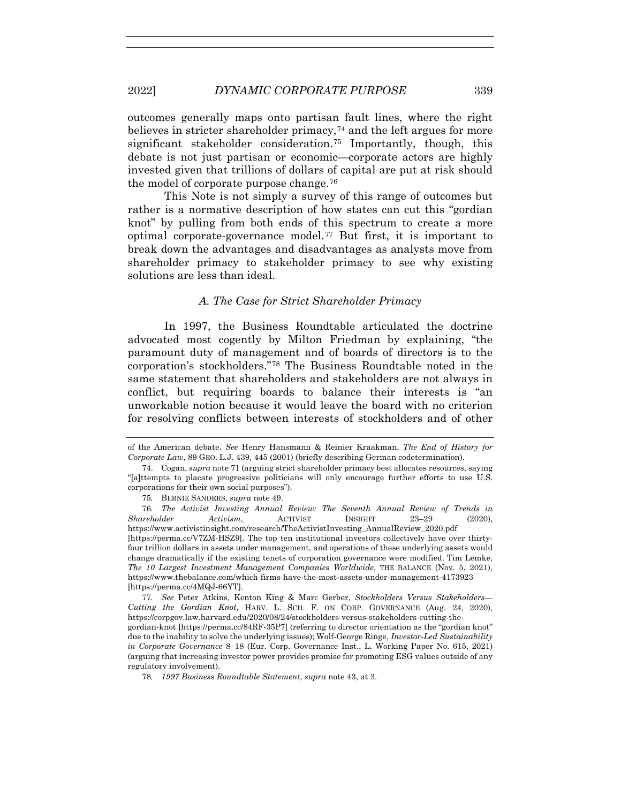2022] *DYNAMIC CORPORATE PURPOSE* 339

outcomes generally maps onto partisan fault lines, where the right believes in stricter shareholder primacy,<sup>74</sup> and the left argues for more significant stakeholder consideration.75 Importantly, though, this debate is not just partisan or economic—corporate actors are highly invested given that trillions of dollars of capital are put at risk should the model of corporate purpose change.76

This Note is not simply a survey of this range of outcomes but rather is a normative description of how states can cut this "gordian knot" by pulling from both ends of this spectrum to create a more optimal corporate-governance model.77 But first, it is important to break down the advantages and disadvantages as analysts move from shareholder primacy to stakeholder primacy to see why existing solutions are less than ideal.

### *A. The Case for Strict Shareholder Primacy*

In 1997, the Business Roundtable articulated the doctrine advocated most cogently by Milton Friedman by explaining, "the paramount duty of management and of boards of directors is to the corporation's stockholders."78 The Business Roundtable noted in the same statement that shareholders and stakeholders are not always in conflict, but requiring boards to balance their interests is "an unworkable notion because it would leave the board with no criterion for resolving conflicts between interests of stockholders and of other

of the American debate. *See* Henry Hansmann & Reinier Kraakman, *The End of History for Corporate Law*, 89 GEO. L.J. 439, 445 (2001) (briefly describing German codetermination).

 <sup>74.</sup> Cogan, *supra* note 71 (arguing strict shareholder primacy best allocates resources, saying "[a]ttempts to placate progressive politicians will only encourage further efforts to use U.S. corporations for their own social purposes").

<sup>75</sup>*.* BERNIE SANDERS, *supra* note 49.

<sup>76</sup>*. The Activist Investing Annual Review: The Seventh Annual Review of Trends in Shareholder Activism*, ACTIVIST INSIGHT 23–29 (2020), https://www.activistinsight.com/research/TheActivistInvesting\_AnnualReview\_2020.pdf [https://perma.cc/V7ZM-HSZ9]. The top ten institutional investors collectively have over thirtyfour trillion dollars in assets under management, and operations of these underlying assets would change dramatically if the existing tenets of corporation governance were modified. Tim Lemke, *The 10 Largest Investment Management Companies Worldwide*, THE BALANCE (Nov. 5, 2021), https://www.thebalance.com/which-firms-have-the-most-assets-under-management-4173923 [https://perma.cc/4MQJ-66YT].

<sup>77</sup>*. See* Peter Atkins, Kenton King & Marc Gerber, *Stockholders Versus Stakeholders— Cutting the Gordian Knot*, HARV. L. SCH. F. ON CORP. GOVERNANCE (Aug. 24, 2020), https://corpgov.law.harvard.edu/2020/08/24/stockholders-versus-stakeholders-cutting-thegordian-knot [https://perma.cc/84RF-35P7] (referring to director orientation as the "gordian knot" due to the inability to solve the underlying issues); Wolf-George Ringe, *Investor-Led Sustainability in Corporate Governance* 8–18 (Eur. Corp. Governance Inst., L. Working Paper No. 615, 2021) (arguing that increasing investor power provides promise for promoting ESG values outside of any regulatory involvement).

<sup>78</sup>*. 1997 Business Roundtable Statement*, *supra* note 43, at 3.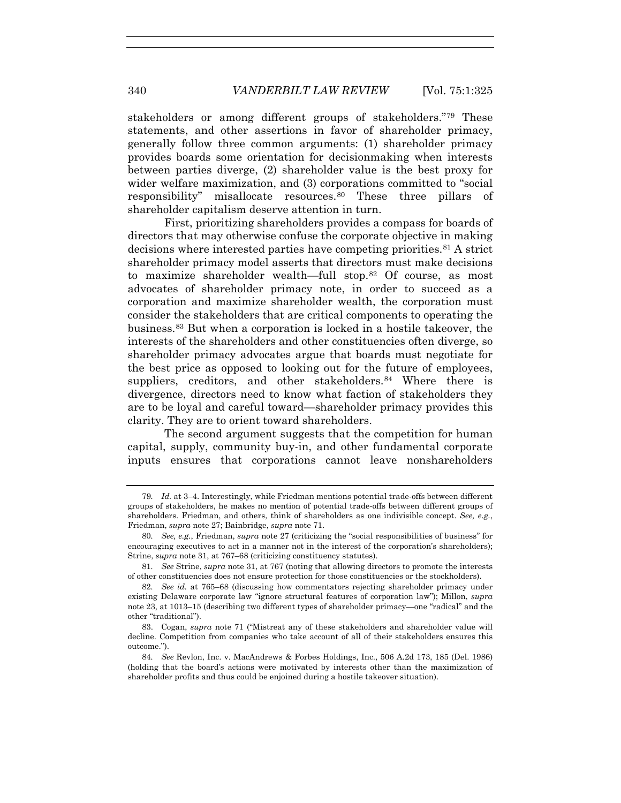stakeholders or among different groups of stakeholders."79 These statements, and other assertions in favor of shareholder primacy, generally follow three common arguments: (1) shareholder primacy provides boards some orientation for decisionmaking when interests between parties diverge, (2) shareholder value is the best proxy for wider welfare maximization, and (3) corporations committed to "social responsibility" misallocate resources.80 These three pillars of shareholder capitalism deserve attention in turn.

First, prioritizing shareholders provides a compass for boards of directors that may otherwise confuse the corporate objective in making decisions where interested parties have competing priorities.81 A strict shareholder primacy model asserts that directors must make decisions to maximize shareholder wealth—full stop.82 Of course, as most advocates of shareholder primacy note, in order to succeed as a corporation and maximize shareholder wealth, the corporation must consider the stakeholders that are critical components to operating the business.83 But when a corporation is locked in a hostile takeover, the interests of the shareholders and other constituencies often diverge, so shareholder primacy advocates argue that boards must negotiate for the best price as opposed to looking out for the future of employees, suppliers, creditors, and other stakeholders.<sup>84</sup> Where there is divergence, directors need to know what faction of stakeholders they are to be loyal and careful toward—shareholder primacy provides this clarity. They are to orient toward shareholders.

The second argument suggests that the competition for human capital, supply, community buy-in, and other fundamental corporate inputs ensures that corporations cannot leave nonshareholders

<sup>79</sup>*. Id.* at 3–4. Interestingly, while Friedman mentions potential trade-offs between different groups of stakeholders, he makes no mention of potential trade-offs between different groups of shareholders. Friedman, and others, think of shareholders as one indivisible concept. *See, e.g.*, Friedman, *supra* note 27; Bainbridge, *supra* note 71.

<sup>80</sup>*. See, e.g.*, Friedman, *supra* note 27 (criticizing the "social responsibilities of business" for encouraging executives to act in a manner not in the interest of the corporation's shareholders); Strine, *supra* note 31, at 767–68 (criticizing constituency statutes).

<sup>81</sup>*. See* Strine, *supra* note 31, at 767 (noting that allowing directors to promote the interests of other constituencies does not ensure protection for those constituencies or the stockholders).

<sup>82</sup>*. See id.* at 765–68 (discussing how commentators rejecting shareholder primacy under existing Delaware corporate law "ignore structural features of corporation law"); Millon, *supra* note 23, at 1013–15 (describing two different types of shareholder primacy—one "radical" and the other "traditional").

 <sup>83.</sup> Cogan, *supra* note 71 ("Mistreat any of these stakeholders and shareholder value will decline. Competition from companies who take account of all of their stakeholders ensures this outcome.").

<sup>84</sup>*. See* Revlon, Inc. v. MacAndrews & Forbes Holdings, Inc., 506 A.2d 173, 185 (Del. 1986) (holding that the board's actions were motivated by interests other than the maximization of shareholder profits and thus could be enjoined during a hostile takeover situation).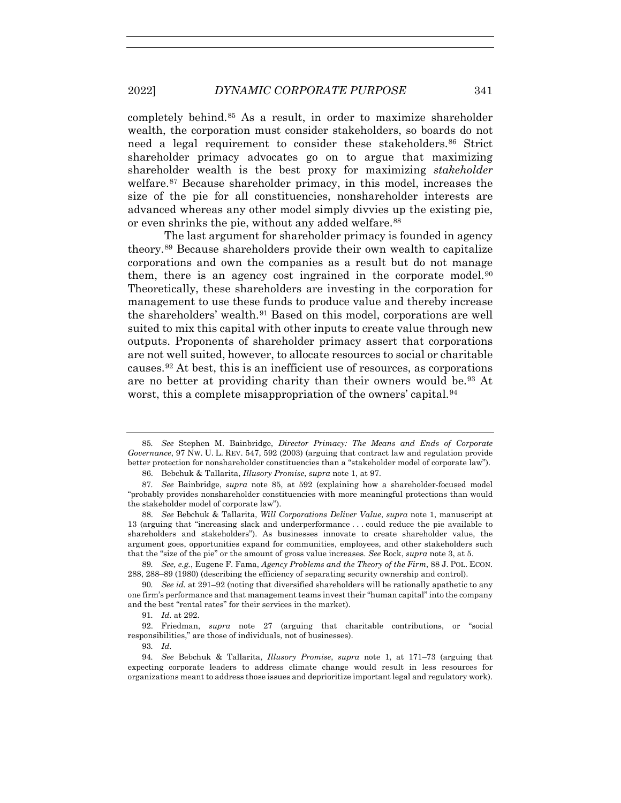completely behind.85 As a result, in order to maximize shareholder wealth, the corporation must consider stakeholders, so boards do not need a legal requirement to consider these stakeholders.86 Strict shareholder primacy advocates go on to argue that maximizing shareholder wealth is the best proxy for maximizing *stakeholder* welfare.<sup>87</sup> Because shareholder primacy, in this model, increases the size of the pie for all constituencies, nonshareholder interests are advanced whereas any other model simply divvies up the existing pie, or even shrinks the pie, without any added welfare.<sup>88</sup>

The last argument for shareholder primacy is founded in agency theory.89 Because shareholders provide their own wealth to capitalize corporations and own the companies as a result but do not manage them, there is an agency cost ingrained in the corporate model.<sup>90</sup> Theoretically, these shareholders are investing in the corporation for management to use these funds to produce value and thereby increase the shareholders' wealth.91 Based on this model, corporations are well suited to mix this capital with other inputs to create value through new outputs. Proponents of shareholder primacy assert that corporations are not well suited, however, to allocate resources to social or charitable causes.92 At best, this is an inefficient use of resources, as corporations are no better at providing charity than their owners would be.93 At worst, this a complete misappropriation of the owners' capital.<sup>94</sup>

91*. Id.* at 292.

 92. Friedman, *supra* note 27 (arguing that charitable contributions, or "social responsibilities," are those of individuals, not of businesses).

93*. Id.*

<sup>85</sup>*. See* Stephen M. Bainbridge, *Director Primacy: The Means and Ends of Corporate Governance*, 97 NW. U. L. REV. 547, 592 (2003) (arguing that contract law and regulation provide better protection for nonshareholder constituencies than a "stakeholder model of corporate law").

 <sup>86.</sup> Bebchuk & Tallarita, *Illusory Promise*, *supra* note 1, at 97.

<sup>87</sup>*. See* Bainbridge, *supra* note 85, at 592 (explaining how a shareholder-focused model "probably provides nonshareholder constituencies with more meaningful protections than would the stakeholder model of corporate law").

 <sup>88.</sup> *See* Bebchuk & Tallarita, *Will Corporations Deliver Value*, *supra* note 1, manuscript at 13 (arguing that "increasing slack and underperformance . . . could reduce the pie available to shareholders and stakeholders"). As businesses innovate to create shareholder value, the argument goes, opportunities expand for communities, employees, and other stakeholders such that the "size of the pie" or the amount of gross value increases. *See* Rock, *supra* note 3, at 5.

<sup>89</sup>*. See, e.g.*, Eugene F. Fama, *Agency Problems and the Theory of the Firm*, 88 J. POL. ECON. 288, 288–89 (1980) (describing the efficiency of separating security ownership and control).

<sup>90</sup>*. See id.* at 291–92 (noting that diversified shareholders will be rationally apathetic to any one firm's performance and that management teams invest their "human capital" into the company and the best "rental rates" for their services in the market).

<sup>94</sup>*. See* Bebchuk & Tallarita, *Illusory Promise*, *supra* note 1, at 171–73 (arguing that expecting corporate leaders to address climate change would result in less resources for organizations meant to address those issues and deprioritize important legal and regulatory work).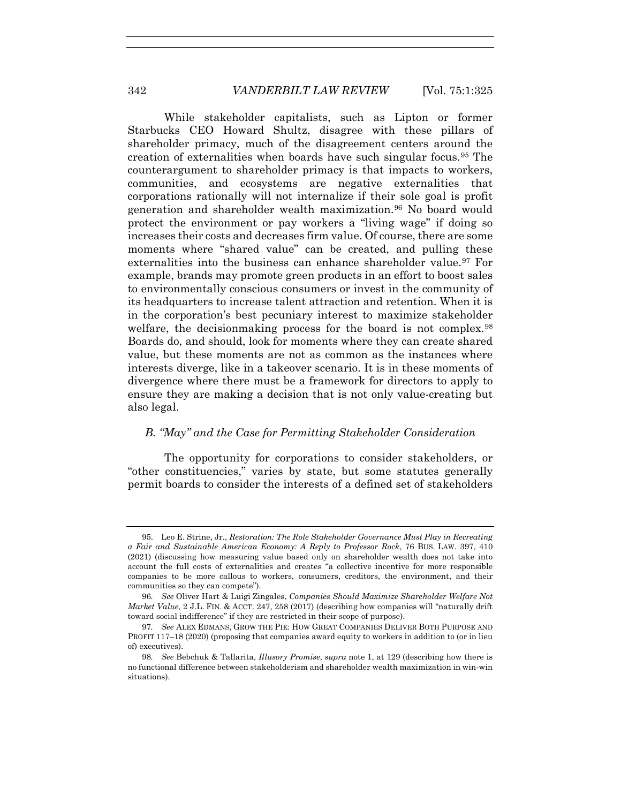While stakeholder capitalists, such as Lipton or former Starbucks CEO Howard Shultz, disagree with these pillars of shareholder primacy, much of the disagreement centers around the creation of externalities when boards have such singular focus.95 The counterargument to shareholder primacy is that impacts to workers, communities, and ecosystems are negative externalities that corporations rationally will not internalize if their sole goal is profit generation and shareholder wealth maximization.<sup>96</sup> No board would protect the environment or pay workers a "living wage" if doing so increases their costs and decreases firm value. Of course, there are some moments where "shared value" can be created, and pulling these externalities into the business can enhance shareholder value.<sup>97</sup> For example, brands may promote green products in an effort to boost sales to environmentally conscious consumers or invest in the community of its headquarters to increase talent attraction and retention. When it is in the corporation's best pecuniary interest to maximize stakeholder welfare, the decisionmaking process for the board is not complex.<sup>98</sup> Boards do, and should, look for moments where they can create shared value, but these moments are not as common as the instances where interests diverge, like in a takeover scenario. It is in these moments of divergence where there must be a framework for directors to apply to ensure they are making a decision that is not only value-creating but also legal.

# *B. "May" and the Case for Permitting Stakeholder Consideration*

The opportunity for corporations to consider stakeholders, or "other constituencies," varies by state, but some statutes generally permit boards to consider the interests of a defined set of stakeholders

 <sup>95.</sup> Leo E. Strine, Jr., *Restoration: The Role Stakeholder Governance Must Play in Recreating a Fair and Sustainable American Economy: A Reply to Professor Rock*, 76 BUS. LAW. 397, 410 (2021) (discussing how measuring value based only on shareholder wealth does not take into account the full costs of externalities and creates "a collective incentive for more responsible companies to be more callous to workers, consumers, creditors, the environment, and their communities so they can compete").

<sup>96</sup>*. See* Oliver Hart & Luigi Zingales, *Companies Should Maximize Shareholder Welfare Not Market Value*, 2 J.L. FIN. & ACCT. 247, 258 (2017) (describing how companies will "naturally drift toward social indifference" if they are restricted in their scope of purpose).

<sup>97</sup>*. See* ALEX EDMANS, GROW THE PIE: HOW GREAT COMPANIES DELIVER BOTH PURPOSE AND PROFIT 117–18 (2020) (proposing that companies award equity to workers in addition to (or in lieu of) executives).

<sup>98</sup>*. See* Bebchuk & Tallarita, *Illusory Promise*, *supra* note 1, at 129 (describing how there is no functional difference between stakeholderism and shareholder wealth maximization in win-win situations).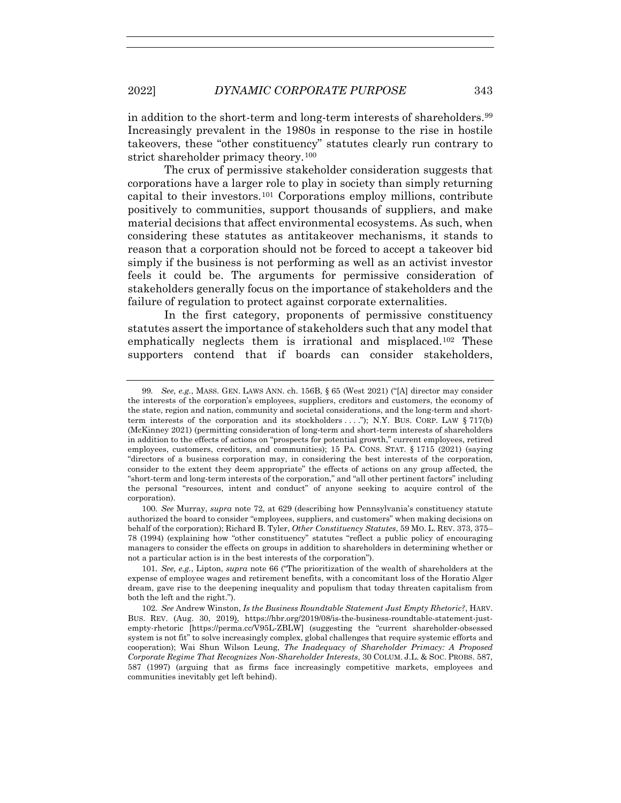in addition to the short-term and long-term interests of shareholders.99 Increasingly prevalent in the 1980s in response to the rise in hostile takeovers, these "other constituency" statutes clearly run contrary to strict shareholder primacy theory.<sup>100</sup>

The crux of permissive stakeholder consideration suggests that corporations have a larger role to play in society than simply returning capital to their investors.101 Corporations employ millions, contribute positively to communities, support thousands of suppliers, and make material decisions that affect environmental ecosystems. As such, when considering these statutes as antitakeover mechanisms, it stands to reason that a corporation should not be forced to accept a takeover bid simply if the business is not performing as well as an activist investor feels it could be. The arguments for permissive consideration of stakeholders generally focus on the importance of stakeholders and the failure of regulation to protect against corporate externalities.

In the first category, proponents of permissive constituency statutes assert the importance of stakeholders such that any model that emphatically neglects them is irrational and misplaced.102 These supporters contend that if boards can consider stakeholders.

<sup>99</sup>*. See, e.g.*, MASS. GEN. LAWS ANN. ch. 156B, § 65 (West 2021) ("[A] director may consider the interests of the corporation's employees, suppliers, creditors and customers, the economy of the state, region and nation, community and societal considerations, and the long-term and shortterm interests of the corporation and its stockholders . . . ."); N.Y. BUS. CORP. LAW § 717(b) (McKinney 2021) (permitting consideration of long-term and short-term interests of shareholders in addition to the effects of actions on "prospects for potential growth," current employees, retired employees, customers, creditors, and communities); 15 PA. CONS. STAT. § 1715 (2021) (saying "directors of a business corporation may, in considering the best interests of the corporation, consider to the extent they deem appropriate" the effects of actions on any group affected, the "short-term and long-term interests of the corporation," and "all other pertinent factors" including the personal "resources, intent and conduct" of anyone seeking to acquire control of the corporation).

<sup>100</sup>*. See* Murray, *supra* note 72, at 629 (describing how Pennsylvania's constituency statute authorized the board to consider "employees, suppliers, and customers" when making decisions on behalf of the corporation); Richard B. Tyler, *Other Constituency Statutes*, 59 MO. L. REV. 373, 375– 78 (1994) (explaining how "other constituency" statutes "reflect a public policy of encouraging managers to consider the effects on groups in addition to shareholders in determining whether or not a particular action is in the best interests of the corporation").

<sup>101</sup>*. See, e.g.*, Lipton, *supra* note 66 ("The prioritization of the wealth of shareholders at the expense of employee wages and retirement benefits, with a concomitant loss of the Horatio Alger dream, gave rise to the deepening inequality and populism that today threaten capitalism from both the left and the right.").

<sup>102</sup>*. See* Andrew Winston, *Is the Business Roundtable Statement Just Empty Rhetoric?*, HARV. BUS. REV. (Aug. 30, 2019), https://hbr.org/2019/08/is-the-business-roundtable-statement-justempty-rhetoric [https://perma.cc/V95L-ZBLW] (suggesting the "current shareholder-obsessed system is not fit" to solve increasingly complex, global challenges that require systemic efforts and cooperation); Wai Shun Wilson Leung, *The Inadequacy of Shareholder Primacy: A Proposed Corporate Regime That Recognizes Non-Shareholder Interests*, 30 COLUM. J.L. & SOC. PROBS. 587, 587 (1997) (arguing that as firms face increasingly competitive markets, employees and communities inevitably get left behind).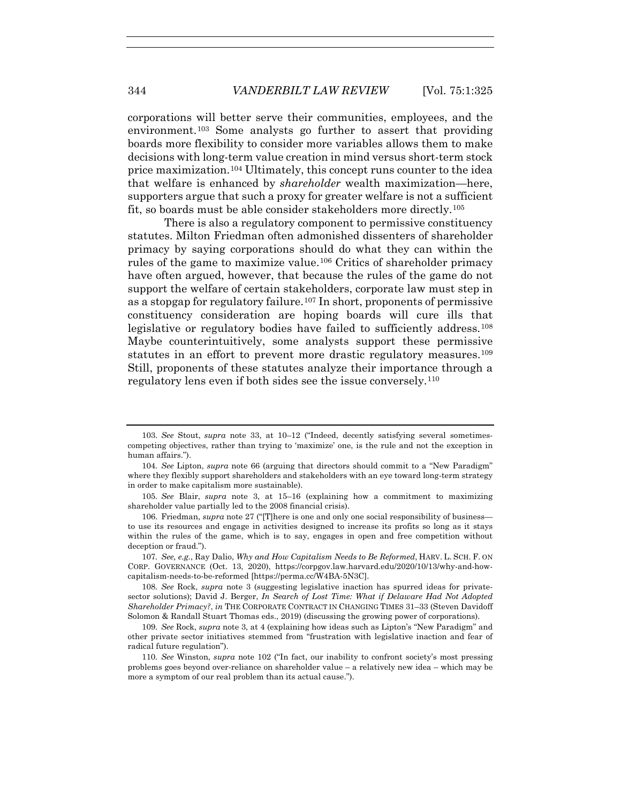corporations will better serve their communities, employees, and the environment.103 Some analysts go further to assert that providing boards more flexibility to consider more variables allows them to make decisions with long-term value creation in mind versus short-term stock price maximization.104 Ultimately, this concept runs counter to the idea that welfare is enhanced by *shareholder* wealth maximization—here, supporters argue that such a proxy for greater welfare is not a sufficient fit, so boards must be able consider stakeholders more directly.105

There is also a regulatory component to permissive constituency statutes. Milton Friedman often admonished dissenters of shareholder primacy by saying corporations should do what they can within the rules of the game to maximize value.106 Critics of shareholder primacy have often argued, however, that because the rules of the game do not support the welfare of certain stakeholders, corporate law must step in as a stopgap for regulatory failure.107 In short, proponents of permissive constituency consideration are hoping boards will cure ills that legislative or regulatory bodies have failed to sufficiently address.<sup>108</sup> Maybe counterintuitively, some analysts support these permissive statutes in an effort to prevent more drastic regulatory measures.<sup>109</sup> Still, proponents of these statutes analyze their importance through a regulatory lens even if both sides see the issue conversely.110

108*. See* Rock, *supra* note 3 (suggesting legislative inaction has spurred ideas for privatesector solutions); David J. Berger, *In Search of Lost Time: What if Delaware Had Not Adopted Shareholder Primacy?*, *in* THE CORPORATE CONTRACT IN CHANGING TIMES 31–33 (Steven Davidoff Solomon & Randall Stuart Thomas eds., 2019) (discussing the growing power of corporations).

109*. See* Rock, *supra* note 3, at 4 (explaining how ideas such as Lipton's "New Paradigm" and other private sector initiatives stemmed from "frustration with legislative inaction and fear of radical future regulation").

<sup>103</sup>*. See* Stout, *supra* note 33, at 10–12 ("Indeed, decently satisfying several sometimescompeting objectives, rather than trying to 'maximize' one, is the rule and not the exception in human affairs.").

<sup>104</sup>*. See* Lipton, *supra* note 66 (arguing that directors should commit to a "New Paradigm" where they flexibly support shareholders and stakeholders with an eye toward long-term strategy in order to make capitalism more sustainable).

<sup>105</sup>*. See* Blair, *supra* note 3, at 15–16 (explaining how a commitment to maximizing shareholder value partially led to the 2008 financial crisis).

 <sup>106.</sup> Friedman, *supra* note 27 ("[T]here is one and only one social responsibility of business to use its resources and engage in activities designed to increase its profits so long as it stays within the rules of the game, which is to say, engages in open and free competition without deception or fraud.").

<sup>107</sup>*. See, e.g.*, Ray Dalio, *Why and How Capitalism Needs to Be Reformed*, HARV. L. SCH. F. ON CORP. GOVERNANCE (Oct. 13, 2020), https://corpgov.law.harvard.edu/2020/10/13/why-and-howcapitalism-needs-to-be-reformed [https://perma.cc/W4BA-5N3C].

<sup>110</sup>*. See* Winston, *supra* note 102 ("In fact, our inability to confront society's most pressing problems goes beyond over-reliance on shareholder value – a relatively new idea – which may be more a symptom of our real problem than its actual cause.").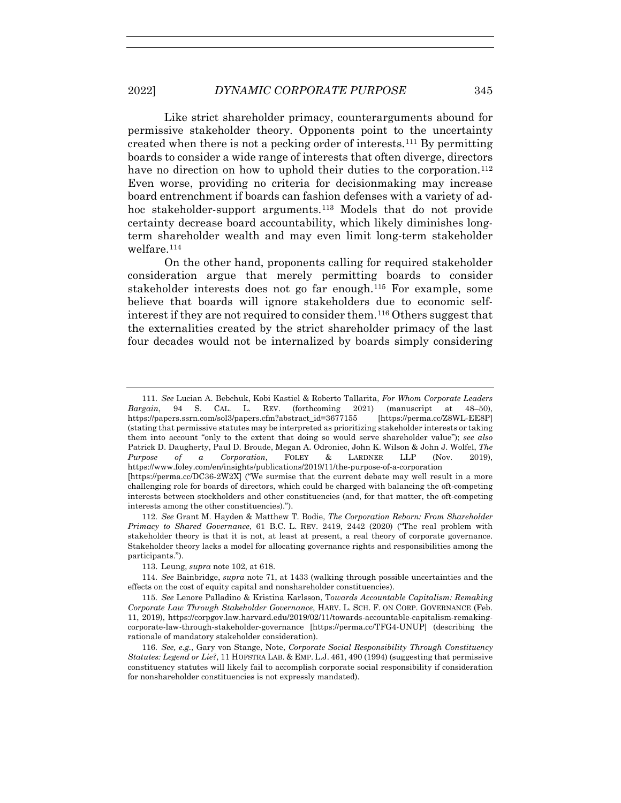Like strict shareholder primacy, counterarguments abound for permissive stakeholder theory. Opponents point to the uncertainty created when there is not a pecking order of interests.111 By permitting boards to consider a wide range of interests that often diverge, directors have no direction on how to uphold their duties to the corporation.<sup>112</sup> Even worse, providing no criteria for decisionmaking may increase board entrenchment if boards can fashion defenses with a variety of adhoc stakeholder-support arguments.<sup>113</sup> Models that do not provide certainty decrease board accountability, which likely diminishes longterm shareholder wealth and may even limit long-term stakeholder welfare.<sup>114</sup>

On the other hand, proponents calling for required stakeholder consideration argue that merely permitting boards to consider stakeholder interests does not go far enough.115 For example, some believe that boards will ignore stakeholders due to economic selfinterest if they are not required to consider them.116 Others suggest that the externalities created by the strict shareholder primacy of the last four decades would not be internalized by boards simply considering

111*. See* Lucian A. Bebchuk, Kobi Kastiel & Roberto Tallarita, *For Whom Corporate Leaders Bargain*, 94 S. CAL. L. REV. (forthcoming 2021) (manuscript at 48–50), https://papers.ssrn.com/sol3/papers.cfm?abstract\_id=3677155 [https://perma.cc/Z8WL-EE8P] (stating that permissive statutes may be interpreted as prioritizing stakeholder interests or taking them into account "only to the extent that doing so would serve shareholder value"); *see also* Patrick D. Daugherty, Paul D. Broude, Megan A. Odroniec, John K. Wilson & John J. Wolfel, *The Purpose of a Corporation*, FOLEY & LARDNER LLP (Nov. 2019), https://www.foley.com/en/insights/publications/2019/11/the-purpose-of-a-corporation [https://perma.cc/DC36-2W2X] ("We surmise that the current debate may well result in a more

challenging role for boards of directors, which could be charged with balancing the oft-competing interests between stockholders and other constituencies (and, for that matter, the oft-competing interests among the other constituencies).").

<sup>112</sup>*. See* Grant M. Hayden & Matthew T. Bodie, *The Corporation Reborn: From Shareholder Primacy to Shared Governance*, 61 B.C. L. REV. 2419, 2442 (2020) ("The real problem with stakeholder theory is that it is not, at least at present, a real theory of corporate governance. Stakeholder theory lacks a model for allocating governance rights and responsibilities among the participants.").

 <sup>113.</sup> Leung, *supra* note 102, at 618.

<sup>114</sup>*. See* Bainbridge, *supra* note 71, at 1433 (walking through possible uncertainties and the effects on the cost of equity capital and nonshareholder constituencies).

<sup>115</sup>*. See* Lenore Palladino & Kristina Karlsson, T*owards Accountable Capitalism: Remaking Corporate Law Through Stakeholder Governance*, HARV. L. SCH. F. ON CORP. GOVERNANCE (Feb. 11, 2019), https://corpgov.law.harvard.edu/2019/02/11/towards-accountable-capitalism-remakingcorporate-law-through-stakeholder-governance [https://perma.cc/TFG4-UNUP] (describing the rationale of mandatory stakeholder consideration).

<sup>116</sup>*. See, e.g.*, Gary von Stange, Note, *Corporate Social Responsibility Through Constituency Statutes: Legend or Lie?*, 11 HOFSTRA LAB. & EMP. L.J. 461, 490 (1994) (suggesting that permissive constituency statutes will likely fail to accomplish corporate social responsibility if consideration for nonshareholder constituencies is not expressly mandated).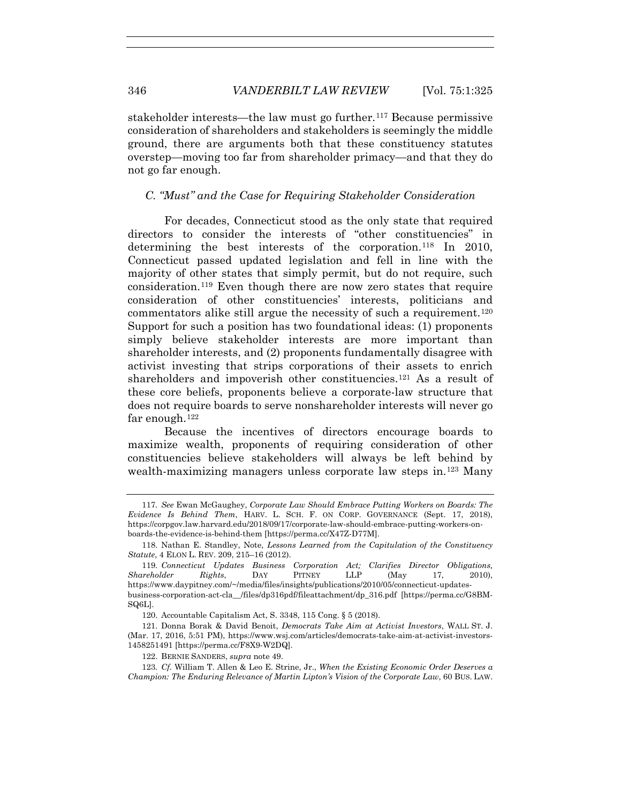stakeholder interests—the law must go further.117 Because permissive consideration of shareholders and stakeholders is seemingly the middle ground, there are arguments both that these constituency statutes overstep—moving too far from shareholder primacy—and that they do not go far enough.

## *C. "Must" and the Case for Requiring Stakeholder Consideration*

For decades, Connecticut stood as the only state that required directors to consider the interests of "other constituencies" in determining the best interests of the corporation.118 In 2010, Connecticut passed updated legislation and fell in line with the majority of other states that simply permit, but do not require, such consideration.119 Even though there are now zero states that require consideration of other constituencies' interests, politicians and commentators alike still argue the necessity of such a requirement.<sup>120</sup> Support for such a position has two foundational ideas: (1) proponents simply believe stakeholder interests are more important than shareholder interests, and (2) proponents fundamentally disagree with activist investing that strips corporations of their assets to enrich shareholders and impoverish other constituencies.<sup>121</sup> As a result of these core beliefs, proponents believe a corporate-law structure that does not require boards to serve nonshareholder interests will never go far enough.<sup>122</sup>

Because the incentives of directors encourage boards to maximize wealth, proponents of requiring consideration of other constituencies believe stakeholders will always be left behind by wealth-maximizing managers unless corporate law steps in.123 Many

<sup>117</sup>*. See* Ewan McGaughey, *Corporate Law Should Embrace Putting Workers on Boards: The Evidence Is Behind Them*, HARV. L. SCH. F. ON CORP. GOVERNANCE (Sept. 17, 2018), https://corpgov.law.harvard.edu/2018/09/17/corporate-law-should-embrace-putting-workers-onboards-the-evidence-is-behind-them [https://perma.cc/X47Z-D77M].

 <sup>118.</sup> Nathan E. Standley, Note, *Lessons Learned from the Capitulation of the Constituency Statute*, 4 ELON L. REV. 209, 215–16 (2012).

<sup>119</sup>*. Connecticut Updates Business Corporation Act; Clarifies Director Obligations, Shareholder Rights*, DAY PITNEY LLP (May 17, 2010), https://www.daypitney.com/~/media/files/insights/publications/2010/05/connecticut-updatesbusiness-corporation-act-cla\_\_/files/dp316pdf/fileattachment/dp\_316.pdf [https://perma.cc/G8BM-SQ6L].

 <sup>120.</sup> Accountable Capitalism Act, S. 3348, 115 Cong. § 5 (2018).

 <sup>121.</sup> Donna Borak & David Benoit, *Democrats Take Aim at Activist Investors*, WALL ST. J. (Mar. 17, 2016, 5:51 PM), https://www.wsj.com/articles/democrats-take-aim-at-activist-investors-1458251491 [https://perma.cc/F8X9-W2DQ].

 <sup>122.</sup> BERNIE SANDERS, *supra* note 49.

<sup>123</sup>*. Cf.* William T. Allen & Leo E. Strine, Jr., *When the Existing Economic Order Deserves a Champion: The Enduring Relevance of Martin Lipton's Vision of the Corporate Law*, 60 BUS. LAW.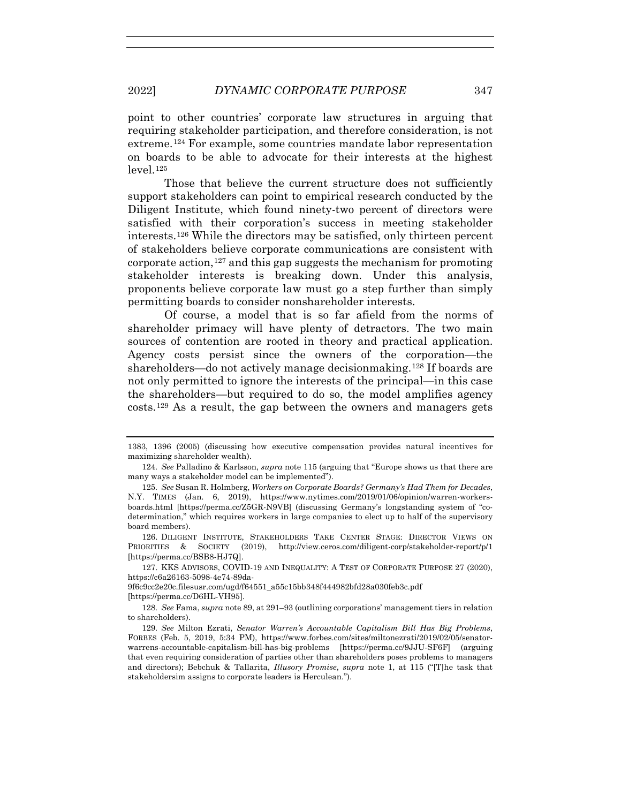point to other countries' corporate law structures in arguing that requiring stakeholder participation, and therefore consideration, is not extreme.124 For example, some countries mandate labor representation on boards to be able to advocate for their interests at the highest level.125

Those that believe the current structure does not sufficiently support stakeholders can point to empirical research conducted by the Diligent Institute, which found ninety-two percent of directors were satisfied with their corporation's success in meeting stakeholder interests.126 While the directors may be satisfied, only thirteen percent of stakeholders believe corporate communications are consistent with corporate action,  $127$  and this gap suggests the mechanism for promoting stakeholder interests is breaking down. Under this analysis, proponents believe corporate law must go a step further than simply permitting boards to consider nonshareholder interests.

Of course, a model that is so far afield from the norms of shareholder primacy will have plenty of detractors. The two main sources of contention are rooted in theory and practical application. Agency costs persist since the owners of the corporation—the shareholders—do not actively manage decisionmaking.<sup>128</sup> If boards are not only permitted to ignore the interests of the principal—in this case the shareholders—but required to do so, the model amplifies agency costs.129 As a result, the gap between the owners and managers gets

 127. KKS ADVISORS, COVID-19 AND INEQUALITY: A TEST OF CORPORATE PURPOSE 27 (2020), https://c6a26163-5098-4e74-89da-

9f6c9cc2e20c.filesusr.com/ugd/f64551\_a55c15bb348f444982bfd28a030feb3c.pdf [https://perma.cc/D6HL-VH95].

128*. See* Fama, *supra* note 89, at 291–93 (outlining corporations' management tiers in relation to shareholders).

<sup>1383, 1396 (2005) (</sup>discussing how executive compensation provides natural incentives for maximizing shareholder wealth).

<sup>124</sup>*. See* Palladino & Karlsson, *supra* note 115 (arguing that "Europe shows us that there are many ways a stakeholder model can be implemented").

<sup>125</sup>*. See* Susan R. Holmberg, *Workers on Corporate Boards? Germany's Had Them for Decades*, N.Y. TIMES (Jan. 6, 2019), https://www.nytimes.com/2019/01/06/opinion/warren-workersboards.html [https://perma.cc/Z5GR-N9VB] (discussing Germany's longstanding system of "codetermination," which requires workers in large companies to elect up to half of the supervisory board members).

 <sup>126.</sup> DILIGENT INSTITUTE, STAKEHOLDERS TAKE CENTER STAGE: DIRECTOR VIEWS ON PRIORITIES & SOCIETY (2019), http://view.ceros.com/diligent-corp/stakeholder-report/p/1 [https://perma.cc/BSB8-HJ7Q].

<sup>129</sup>*. See* Milton Ezrati, *Senator Warren's Accountable Capitalism Bill Has Big Problems*, FORBES (Feb. 5, 2019, 5:34 PM), https://www.forbes.com/sites/miltonezrati/2019/02/05/senatorwarrens-accountable-capitalism-bill-has-big-problems [https://perma.cc/9JJU-SF6F] (arguing that even requiring consideration of parties other than shareholders poses problems to managers and directors); Bebchuk & Tallarita, *Illusory Promise*, *supra* note 1, at 115 ("[T]he task that stakeholdersim assigns to corporate leaders is Herculean.").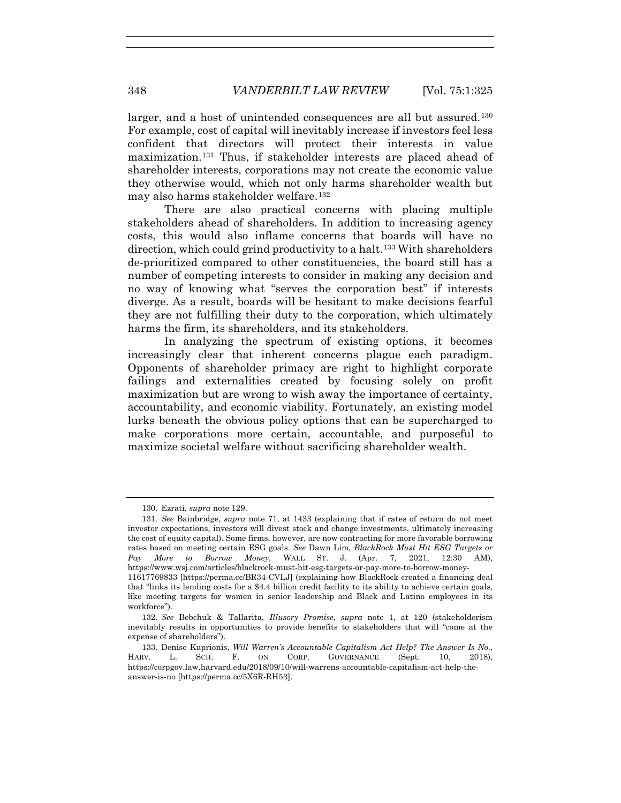larger, and a host of unintended consequences are all but assured.<sup>130</sup> For example, cost of capital will inevitably increase if investors feel less confident that directors will protect their interests in value maximization.131 Thus, if stakeholder interests are placed ahead of shareholder interests, corporations may not create the economic value they otherwise would, which not only harms shareholder wealth but may also harms stakeholder welfare.132

There are also practical concerns with placing multiple stakeholders ahead of shareholders. In addition to increasing agency costs, this would also inflame concerns that boards will have no direction, which could grind productivity to a halt.133 With shareholders de-prioritized compared to other constituencies, the board still has a number of competing interests to consider in making any decision and no way of knowing what "serves the corporation best" if interests diverge. As a result, boards will be hesitant to make decisions fearful they are not fulfilling their duty to the corporation, which ultimately harms the firm, its shareholders, and its stakeholders.

In analyzing the spectrum of existing options, it becomes increasingly clear that inherent concerns plague each paradigm. Opponents of shareholder primacy are right to highlight corporate failings and externalities created by focusing solely on profit maximization but are wrong to wish away the importance of certainty, accountability, and economic viability. Fortunately, an existing model lurks beneath the obvious policy options that can be supercharged to make corporations more certain, accountable, and purposeful to maximize societal welfare without sacrificing shareholder wealth.

 <sup>130.</sup> Ezrati, *supra* note 129.

<sup>131</sup>*. See* Bainbridge, *supra* note 71, at 1433 (explaining that if rates of return do not meet investor expectations, investors will divest stock and change investments, ultimately increasing the cost of equity capital). Some firms, however, are now contracting for more favorable borrowing rates based on meeting certain ESG goals. *See* Dawn Lim, *BlackRock Must Hit ESG Targets or Pay More to Borrow Money*, WALL ST. J. (Apr. 7, 2021, 12:30 AM), https://www.wsj.com/articles/blackrock-must-hit-esg-targets-or-pay-more-to-borrow-money-11617769833 [https://perma.cc/BR34-CVLJ] (explaining how BlackRock created a financing deal

that "links its lending costs for a \$4.4 billion credit facility to its ability to achieve certain goals, like meeting targets for women in senior leadership and Black and Latino employees in its workforce").

<sup>132</sup>*. See* Bebchuk & Tallarita, *Illusory Promise*, *supra* note 1, at 120 (stakeholderism inevitably results in opportunities to provide benefits to stakeholders that will "come at the expense of shareholders").

 <sup>133.</sup> Denise Kuprionis, *Will Warren's Accountable Capitalism Act Help? The Answer Is No.*, HARV. L. SCH. F. ON CORP. GOVERNANCE (Sept. 10, 2018), https://corpgov.law.harvard.edu/2018/09/10/will-warrens-accountable-capitalism-act-help-theanswer-is-no [https://perma.cc/5X6R-RH53].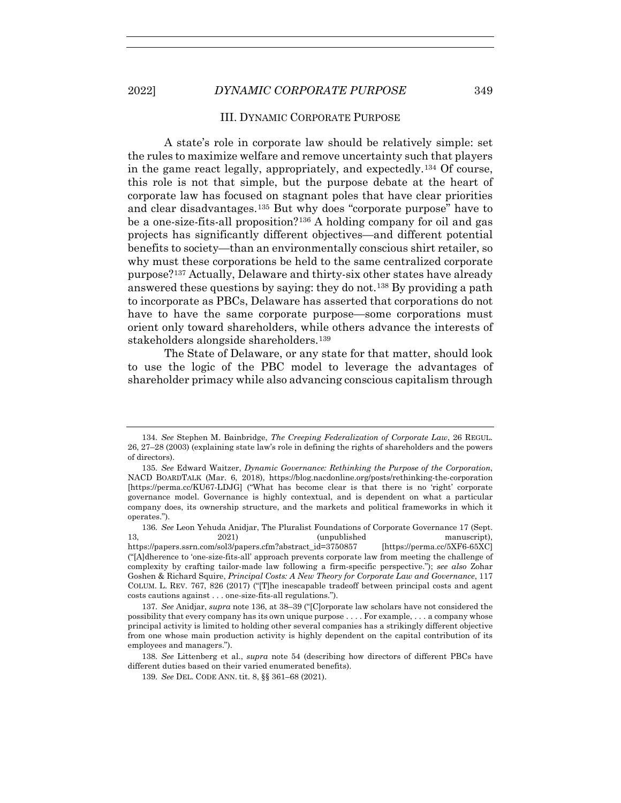### III. DYNAMIC CORPORATE PURPOSE

A state's role in corporate law should be relatively simple: set the rules to maximize welfare and remove uncertainty such that players in the game react legally, appropriately, and expectedly.<sup>134</sup> Of course, this role is not that simple, but the purpose debate at the heart of corporate law has focused on stagnant poles that have clear priorities and clear disadvantages.135 But why does "corporate purpose" have to be a one-size-fits-all proposition?136 A holding company for oil and gas projects has significantly different objectives—and different potential benefits to society—than an environmentally conscious shirt retailer, so why must these corporations be held to the same centralized corporate purpose?137 Actually, Delaware and thirty-six other states have already answered these questions by saying: they do not.138 By providing a path to incorporate as PBCs, Delaware has asserted that corporations do not have to have the same corporate purpose—some corporations must orient only toward shareholders, while others advance the interests of stakeholders alongside shareholders.139

The State of Delaware, or any state for that matter, should look to use the logic of the PBC model to leverage the advantages of shareholder primacy while also advancing conscious capitalism through

<sup>134</sup>*. See* Stephen M. Bainbridge, *The Creeping Federalization of Corporate Law*, 26 REGUL. 26, 27–28 (2003) (explaining state law's role in defining the rights of shareholders and the powers of directors).

<sup>135</sup>*. See* Edward Waitzer, *Dynamic Governance: Rethinking the Purpose of the Corporation*, NACD BOARDTALK (Mar. 6, 2018), https://blog.nacdonline.org/posts/rethinking-the-corporation [https://perma.cc/KU67-LDJG] ("What has become clear is that there is no 'right' corporate governance model. Governance is highly contextual, and is dependent on what a particular company does, its ownership structure, and the markets and political frameworks in which it operates.").

<sup>136</sup>*. See* Leon Yehuda Anidjar, The Pluralist Foundations of Corporate Governance 17 (Sept. 13, 2021) (unpublished manuscript), https://papers.ssrn.com/sol3/papers.cfm?abstract\_id=3750857 [https://perma.cc/5XF6-65XC] ("[A]dherence to 'one-size-fits-all' approach prevents corporate law from meeting the challenge of complexity by crafting tailor-made law following a firm-specific perspective."); *see also* Zohar Goshen & Richard Squire, *Principal Costs: A New Theory for Corporate Law and Governance*, 117 COLUM. L. REV. 767, 826 (2017) ("[T]he inescapable tradeoff between principal costs and agent costs cautions against . . . one-size-fits-all regulations.").

<sup>137</sup>*. See* Anidjar, *supra* note 136, at 38–39 ("[C]orporate law scholars have not considered the possibility that every company has its own unique purpose . . . . For example, . . . a company whose principal activity is limited to holding other several companies has a strikingly different objective from one whose main production activity is highly dependent on the capital contribution of its employees and managers.").

<sup>138</sup>*. See* Littenberg et al., *supra* note 54 (describing how directors of different PBCs have different duties based on their varied enumerated benefits).

<sup>139</sup>*. See* DEL. CODE ANN. tit. 8, §§ 361–68 (2021).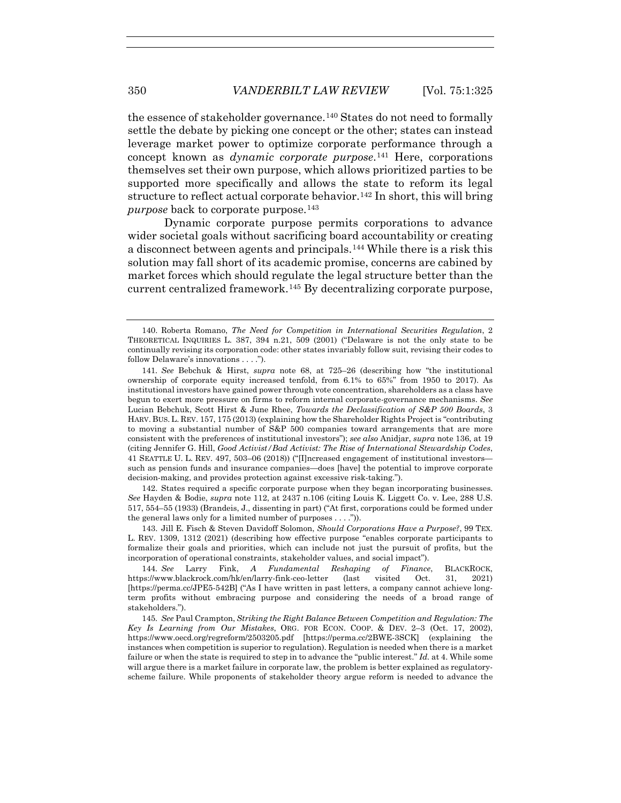the essence of stakeholder governance.<sup>140</sup> States do not need to formally settle the debate by picking one concept or the other; states can instead leverage market power to optimize corporate performance through a concept known as *dynamic corporate purpose*.141 Here, corporations themselves set their own purpose, which allows prioritized parties to be supported more specifically and allows the state to reform its legal structure to reflect actual corporate behavior.<sup>142</sup> In short, this will bring *purpose* back to corporate purpose.<sup>143</sup>

Dynamic corporate purpose permits corporations to advance wider societal goals without sacrificing board accountability or creating a disconnect between agents and principals.144 While there is a risk this solution may fall short of its academic promise, concerns are cabined by market forces which should regulate the legal structure better than the current centralized framework.145 By decentralizing corporate purpose,

 142. States required a specific corporate purpose when they began incorporating businesses. *See* Hayden & Bodie, *supra* note 112, at 2437 n.106 (citing Louis K. Liggett Co. v. Lee, 288 U.S. 517, 554–55 (1933) (Brandeis, J., dissenting in part) ("At first, corporations could be formed under the general laws only for a limited number of purposes . . . .")).

 143. Jill E. Fisch & Steven Davidoff Solomon, *Should Corporations Have a Purpose?*, 99 TEX. L. REV. 1309, 1312 (2021) (describing how effective purpose "enables corporate participants to formalize their goals and priorities, which can include not just the pursuit of profits, but the incorporation of operational constraints, stakeholder values, and social impact").

144*. See* Larry Fink, *A Fundamental Reshaping of Finance*, BLACKROCK, https://www.blackrock.com/hk/en/larry-fink-ceo-letter (last visited Oct. 31, 2021) [https://perma.cc/JPE5-542B] ("As I have written in past letters, a company cannot achieve longterm profits without embracing purpose and considering the needs of a broad range of stakeholders.").

145*. See* Paul Crampton, *Striking the Right Balance Between Competition and Regulation: The Key Is Learning from Our Mistakes*, ORG. FOR ECON. COOP. & DEV. 2–3 (Oct. 17, 2002), https://www.oecd.org/regreform/2503205.pdf [https://perma.cc/2BWE-3SCK] (explaining the instances when competition is superior to regulation). Regulation is needed when there is a market failure or when the state is required to step in to advance the "public interest." *Id.* at 4. While some will argue there is a market failure in corporate law, the problem is better explained as regulatoryscheme failure. While proponents of stakeholder theory argue reform is needed to advance the

 <sup>140.</sup> Roberta Romano, *The Need for Competition in International Securities Regulation*, 2 THEORETICAL INQUIRIES L. 387, 394 n.21, 509 (2001) ("Delaware is not the only state to be continually revising its corporation code: other states invariably follow suit, revising their codes to follow Delaware's innovations . . . .").

<sup>141</sup>*. See* Bebchuk & Hirst, *supra* note 68, at 725–26 (describing how "the institutional ownership of corporate equity increased tenfold, from 6.1% to 65%" from 1950 to 2017). As institutional investors have gained power through vote concentration, shareholders as a class have begun to exert more pressure on firms to reform internal corporate-governance mechanisms. *See* Lucian Bebchuk, Scott Hirst & June Rhee, *Towards the Declassification of S&P 500 Boards*, 3 HARV. BUS. L. REV. 157, 175 (2013) (explaining how the Shareholder Rights Project is "contributing to moving a substantial number of S&P 500 companies toward arrangements that are more consistent with the preferences of institutional investors"); *see also* Anidjar, *supra* note 136, at 19 (citing Jennifer G. Hill, *Good Activist/Bad Activist: The Rise of International Stewardship Codes*, 41 SEATTLE U. L. REV. 497, 503–06 (2018)) ("[I]ncreased engagement of institutional investors such as pension funds and insurance companies—does [have] the potential to improve corporate decision-making, and provides protection against excessive risk-taking.").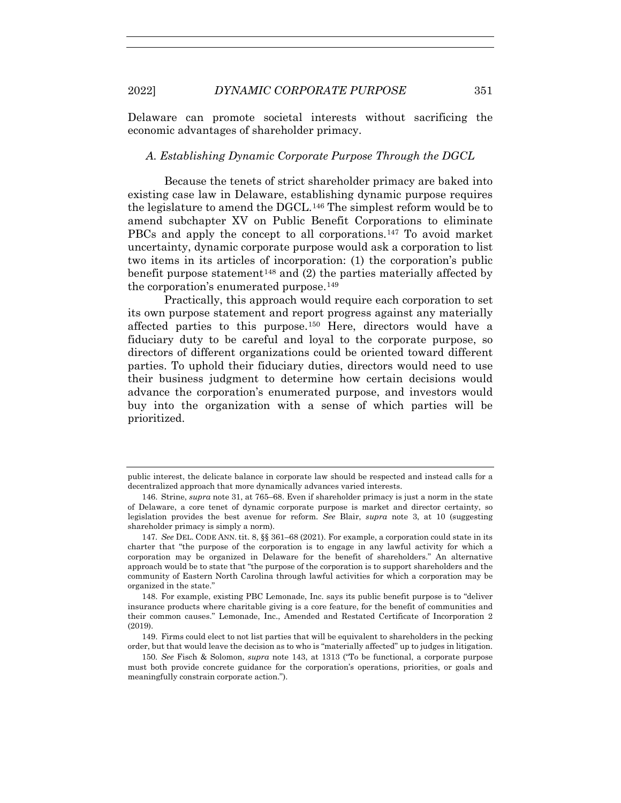Delaware can promote societal interests without sacrificing the economic advantages of shareholder primacy.

## *A. Establishing Dynamic Corporate Purpose Through the DGCL*

Because the tenets of strict shareholder primacy are baked into existing case law in Delaware, establishing dynamic purpose requires the legislature to amend the DGCL.146 The simplest reform would be to amend subchapter XV on Public Benefit Corporations to eliminate PBCs and apply the concept to all corporations.147 To avoid market uncertainty, dynamic corporate purpose would ask a corporation to list two items in its articles of incorporation: (1) the corporation's public benefit purpose statement<sup>148</sup> and  $(2)$  the parties materially affected by the corporation's enumerated purpose.<sup>149</sup>

Practically, this approach would require each corporation to set its own purpose statement and report progress against any materially affected parties to this purpose.150 Here, directors would have a fiduciary duty to be careful and loyal to the corporate purpose, so directors of different organizations could be oriented toward different parties. To uphold their fiduciary duties, directors would need to use their business judgment to determine how certain decisions would advance the corporation's enumerated purpose, and investors would buy into the organization with a sense of which parties will be prioritized.

public interest, the delicate balance in corporate law should be respected and instead calls for a decentralized approach that more dynamically advances varied interests.

 <sup>146.</sup> Strine, *supra* note 31, at 765–68. Even if shareholder primacy is just a norm in the state of Delaware, a core tenet of dynamic corporate purpose is market and director certainty, so legislation provides the best avenue for reform. *See* Blair, *supra* note 3, at 10 (suggesting shareholder primacy is simply a norm).

<sup>147</sup>*. See* DEL. CODE ANN. tit. 8, §§ 361–68 (2021). For example, a corporation could state in its charter that "the purpose of the corporation is to engage in any lawful activity for which a corporation may be organized in Delaware for the benefit of shareholders." An alternative approach would be to state that "the purpose of the corporation is to support shareholders and the community of Eastern North Carolina through lawful activities for which a corporation may be organized in the state."

 <sup>148.</sup> For example, existing PBC Lemonade, Inc. says its public benefit purpose is to "deliver insurance products where charitable giving is a core feature, for the benefit of communities and their common causes." Lemonade, Inc., Amended and Restated Certificate of Incorporation 2 (2019).

 <sup>149.</sup> Firms could elect to not list parties that will be equivalent to shareholders in the pecking order, but that would leave the decision as to who is "materially affected" up to judges in litigation.

<sup>150</sup>*. See* Fisch & Solomon, *supra* note 143, at 1313 ("To be functional, a corporate purpose must both provide concrete guidance for the corporation's operations, priorities, or goals and meaningfully constrain corporate action.").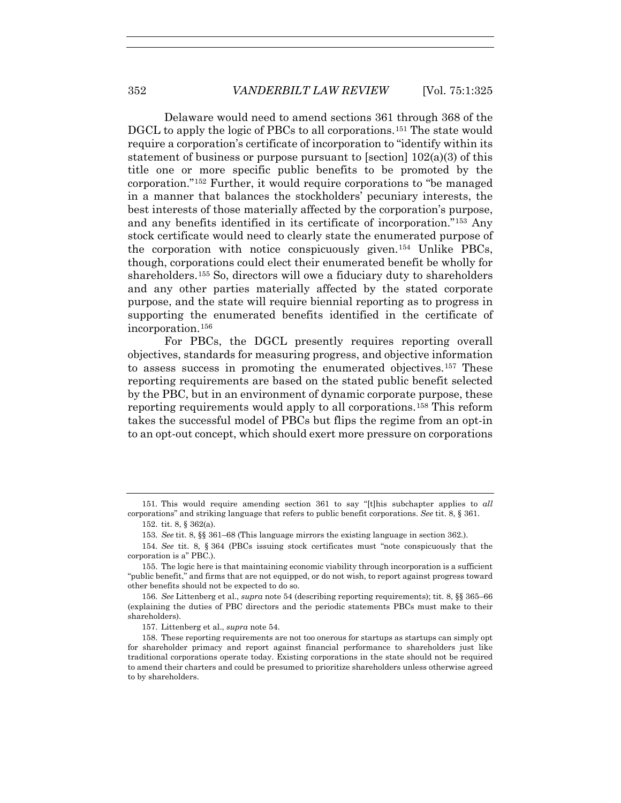Delaware would need to amend sections 361 through 368 of the DGCL to apply the logic of PBCs to all corporations.151 The state would require a corporation's certificate of incorporation to "identify within its statement of business or purpose pursuant to [section]  $102(a)(3)$  of this title one or more specific public benefits to be promoted by the corporation."152 Further, it would require corporations to "be managed in a manner that balances the stockholders' pecuniary interests, the best interests of those materially affected by the corporation's purpose, and any benefits identified in its certificate of incorporation."153 Any stock certificate would need to clearly state the enumerated purpose of the corporation with notice conspicuously given.154 Unlike PBCs, though, corporations could elect their enumerated benefit be wholly for shareholders.155 So, directors will owe a fiduciary duty to shareholders and any other parties materially affected by the stated corporate purpose, and the state will require biennial reporting as to progress in supporting the enumerated benefits identified in the certificate of incorporation.156

For PBCs, the DGCL presently requires reporting overall objectives, standards for measuring progress, and objective information to assess success in promoting the enumerated objectives.157 These reporting requirements are based on the stated public benefit selected by the PBC, but in an environment of dynamic corporate purpose, these reporting requirements would apply to all corporations.158 This reform takes the successful model of PBCs but flips the regime from an opt-in to an opt-out concept, which should exert more pressure on corporations

<sup>151</sup>*.* This would require amending section 361 to say "[t]his subchapter applies to *all* corporations" and striking language that refers to public benefit corporations. *See* tit. 8, § 361.

 <sup>152.</sup> tit. 8, § 362(a).

<sup>153</sup>*. See* tit. 8, §§ 361–68 (This language mirrors the existing language in section 362.).

<sup>154</sup>*. See* tit. 8, § 364 (PBCs issuing stock certificates must "note conspicuously that the corporation is a" PBC.).

 <sup>155.</sup> The logic here is that maintaining economic viability through incorporation is a sufficient "public benefit," and firms that are not equipped, or do not wish, to report against progress toward other benefits should not be expected to do so.

<sup>156</sup>*. See* Littenberg et al., *supra* note 54 (describing reporting requirements); tit. 8, §§ 365–66 (explaining the duties of PBC directors and the periodic statements PBCs must make to their shareholders).

 <sup>157.</sup> Littenberg et al., *supra* note 54.

 <sup>158.</sup> These reporting requirements are not too onerous for startups as startups can simply opt for shareholder primacy and report against financial performance to shareholders just like traditional corporations operate today. Existing corporations in the state should not be required to amend their charters and could be presumed to prioritize shareholders unless otherwise agreed to by shareholders.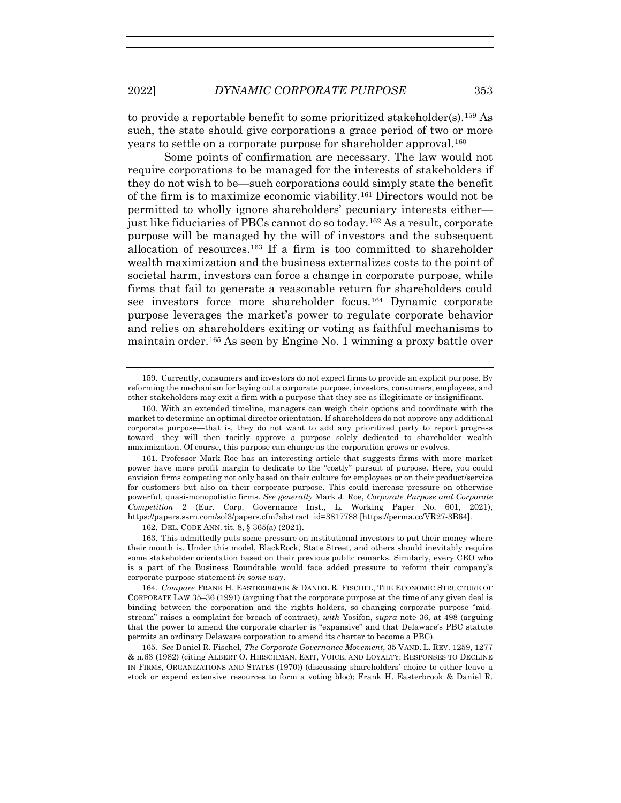to provide a reportable benefit to some prioritized stakeholder(s).159 As such, the state should give corporations a grace period of two or more years to settle on a corporate purpose for shareholder approval.<sup>160</sup>

Some points of confirmation are necessary. The law would not require corporations to be managed for the interests of stakeholders if they do not wish to be—such corporations could simply state the benefit of the firm is to maximize economic viability.161 Directors would not be permitted to wholly ignore shareholders' pecuniary interests either just like fiduciaries of PBCs cannot do so today.162 As a result, corporate purpose will be managed by the will of investors and the subsequent allocation of resources.<sup>163</sup> If a firm is too committed to shareholder wealth maximization and the business externalizes costs to the point of societal harm, investors can force a change in corporate purpose, while firms that fail to generate a reasonable return for shareholders could see investors force more shareholder focus.164 Dynamic corporate purpose leverages the market's power to regulate corporate behavior and relies on shareholders exiting or voting as faithful mechanisms to maintain order.165 As seen by Engine No. 1 winning a proxy battle over

162. DEL. CODE ANN. tit. 8, § 365(a) (2021).

 <sup>159.</sup> Currently, consumers and investors do not expect firms to provide an explicit purpose. By reforming the mechanism for laying out a corporate purpose, investors, consumers, employees, and other stakeholders may exit a firm with a purpose that they see as illegitimate or insignificant.

 <sup>160.</sup> With an extended timeline, managers can weigh their options and coordinate with the market to determine an optimal director orientation. If shareholders do not approve any additional corporate purpose—that is, they do not want to add any prioritized party to report progress toward—they will then tacitly approve a purpose solely dedicated to shareholder wealth maximization. Of course, this purpose can change as the corporation grows or evolves.

 <sup>161.</sup> Professor Mark Roe has an interesting article that suggests firms with more market power have more profit margin to dedicate to the "costly" pursuit of purpose. Here, you could envision firms competing not only based on their culture for employees or on their product/service for customers but also on their corporate purpose. This could increase pressure on otherwise powerful, quasi-monopolistic firms. *See generally* Mark J. Roe, *Corporate Purpose and Corporate Competition* 2 (Eur. Corp. Governance Inst., L. Working Paper No. 601, 2021), https://papers.ssrn.com/sol3/papers.cfm?abstract\_id=3817788 [https://perma.cc/VR27-3B64].

 <sup>163.</sup> This admittedly puts some pressure on institutional investors to put their money where their mouth is. Under this model, BlackRock, State Street, and others should inevitably require some stakeholder orientation based on their previous public remarks. Similarly, every CEO who is a part of the Business Roundtable would face added pressure to reform their company's corporate purpose statement *in some way*.

<sup>164</sup>*. Compare* FRANK H. EASTERBROOK & DANIEL R. FISCHEL, THE ECONOMIC STRUCTURE OF CORPORATE LAW 35–36 (1991) (arguing that the corporate purpose at the time of any given deal is binding between the corporation and the rights holders, so changing corporate purpose "midstream" raises a complaint for breach of contract), *with* Yosifon, *supra* note 36, at 498 (arguing that the power to amend the corporate charter is "expansive" and that Delaware's PBC statute permits an ordinary Delaware corporation to amend its charter to become a PBC).

<sup>165</sup>*. See* Daniel R. Fischel, *The Corporate Governance Movement*, 35 VAND. L. REV. 1259, 1277 & n.63 (1982) (citing ALBERT O. HIRSCHMAN, EXIT, VOICE, AND LOYALTY: RESPONSES TO DECLINE IN FIRMS, ORGANIZATIONS AND STATES (1970)) (discussing shareholders' choice to either leave a stock or expend extensive resources to form a voting bloc); Frank H. Easterbrook & Daniel R.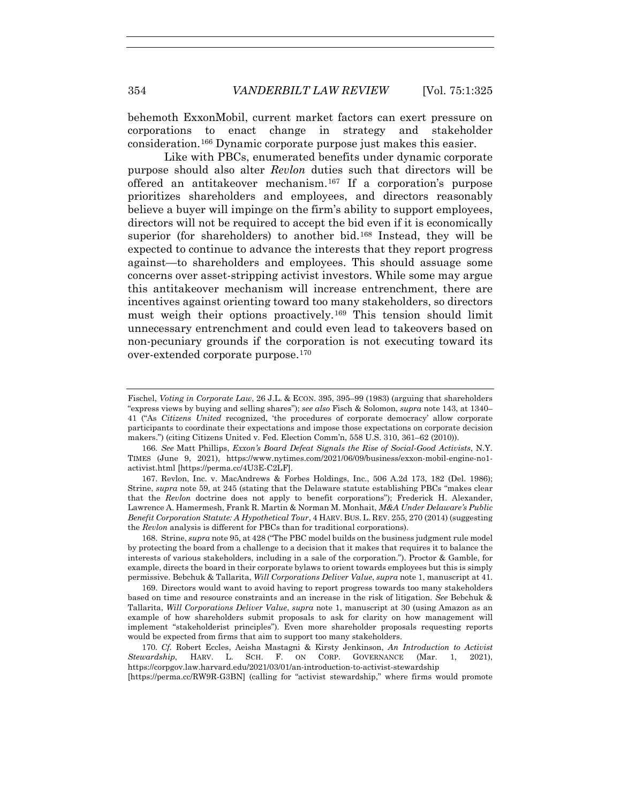behemoth ExxonMobil, current market factors can exert pressure on corporations to enact change in strategy and stakeholder consideration.166 Dynamic corporate purpose just makes this easier.

Like with PBCs, enumerated benefits under dynamic corporate purpose should also alter *Revlon* duties such that directors will be offered an antitakeover mechanism.167 If a corporation's purpose prioritizes shareholders and employees, and directors reasonably believe a buyer will impinge on the firm's ability to support employees, directors will not be required to accept the bid even if it is economically superior (for shareholders) to another bid.<sup>168</sup> Instead, they will be expected to continue to advance the interests that they report progress against—to shareholders and employees. This should assuage some concerns over asset-stripping activist investors. While some may argue this antitakeover mechanism will increase entrenchment, there are incentives against orienting toward too many stakeholders, so directors must weigh their options proactively.169 This tension should limit unnecessary entrenchment and could even lead to takeovers based on non-pecuniary grounds if the corporation is not executing toward its over-extended corporate purpose.170

166*. See* Matt Phillips, *Exxon's Board Defeat Signals the Rise of Social-Good Activists*, N.Y. TIMES (June 9, 2021), https://www.nytimes.com/2021/06/09/business/exxon-mobil-engine-no1 activist.html [https://perma.cc/4U3E-C2LF].

 167. Revlon, Inc. v. MacAndrews & Forbes Holdings, Inc., 506 A.2d 173, 182 (Del. 1986); Strine, *supra* note 59, at 245 (stating that the Delaware statute establishing PBCs "makes clear that the *Revlon* doctrine does not apply to benefit corporations"); Frederick H. Alexander, Lawrence A. Hamermesh, Frank R. Martin & Norman M. Monhait, *M&A Under Delaware's Public Benefit Corporation Statute: A Hypothetical Tour*, 4 HARV. BUS. L. REV. 255, 270 (2014) (suggesting the *Revlon* analysis is different for PBCs than for traditional corporations).

 168. Strine, *supra* note 95, at 428 ("The PBC model builds on the business judgment rule model by protecting the board from a challenge to a decision that it makes that requires it to balance the interests of various stakeholders, including in a sale of the corporation."). Proctor & Gamble, for example, directs the board in their corporate bylaws to orient towards employees but this is simply permissive. Bebchuk & Tallarita, *Will Corporations Deliver Value*, *supra* note 1, manuscript at 41.

 169. Directors would want to avoid having to report progress towards too many stakeholders based on time and resource constraints and an increase in the risk of litigation. *See* Bebchuk & Tallarita, *Will Corporations Deliver Value*, *supra* note 1, manuscript at 30 (using Amazon as an example of how shareholders submit proposals to ask for clarity on how management will implement "stakeholderist principles"). Even more shareholder proposals requesting reports would be expected from firms that aim to support too many stakeholders.

170*. Cf.* Robert Eccles, Aeisha Mastagni & Kirsty Jenkinson, *An Introduction to Activist Stewardship*, HARV. L. SCH. F. ON CORP. GOVERNANCE (Mar. 1, 2021), https://corpgov.law.harvard.edu/2021/03/01/an-introduction-to-activist-stewardship

[https://perma.cc/RW9R-G3BN] (calling for "activist stewardship," where firms would promote

Fischel, *Voting in Corporate Law*, 26 J.L. & ECON. 395, 395–99 (1983) (arguing that shareholders "express views by buying and selling shares"); *see also* Fisch & Solomon, *supra* note 143, at 1340– 41 ("As *Citizens United* recognized, 'the procedures of corporate democracy' allow corporate participants to coordinate their expectations and impose those expectations on corporate decision makers.") (citing Citizens United v. Fed. Election Comm'n, 558 U.S. 310, 361–62 (2010)).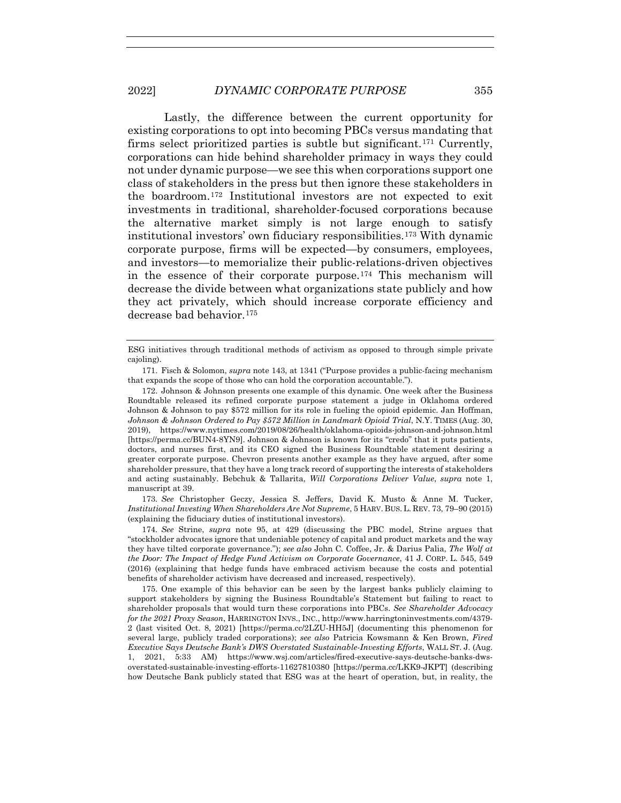Lastly, the difference between the current opportunity for existing corporations to opt into becoming PBCs versus mandating that firms select prioritized parties is subtle but significant.171 Currently, corporations can hide behind shareholder primacy in ways they could not under dynamic purpose—we see this when corporations support one class of stakeholders in the press but then ignore these stakeholders in the boardroom.172 Institutional investors are not expected to exit investments in traditional, shareholder-focused corporations because the alternative market simply is not large enough to satisfy institutional investors' own fiduciary responsibilities.173 With dynamic corporate purpose, firms will be expected—by consumers, employees, and investors—to memorialize their public-relations-driven objectives in the essence of their corporate purpose.<sup>174</sup> This mechanism will decrease the divide between what organizations state publicly and how they act privately, which should increase corporate efficiency and decrease bad behavior.175

173*. See* Christopher Geczy, Jessica S. Jeffers, David K. Musto & Anne M. Tucker, *Institutional Investing When Shareholders Are Not Supreme*, 5 HARV. BUS. L. REV. 73, 79–90 (2015) (explaining the fiduciary duties of institutional investors).

174*. See* Strine, *supra* note 95, at 429 (discussing the PBC model, Strine argues that "stockholder advocates ignore that undeniable potency of capital and product markets and the way they have tilted corporate governance."); *see also* John C. Coffee, Jr. & Darius Palia, *The Wolf at the Door: The Impact of Hedge Fund Activism on Corporate Governance*, 41 J. CORP. L. 545, 549 (2016) (explaining that hedge funds have embraced activism because the costs and potential benefits of shareholder activism have decreased and increased, respectively).

 175. One example of this behavior can be seen by the largest banks publicly claiming to support stakeholders by signing the Business Roundtable's Statement but failing to react to shareholder proposals that would turn these corporations into PBCs. *See Shareholder Advocacy for the 2021 Proxy Season*, HARRINGTON INVS., INC., http://www.harringtoninvestments.com/4379- 2 (last visited Oct. 8, 2021) [https://perma.cc/2LZU-HH5J] (documenting this phenomenon for several large, publicly traded corporations); *see also* Patricia Kowsmann & Ken Brown, *Fired Executive Says Deutsche Bank's DWS Overstated Sustainable-Investing Efforts*, WALL ST. J. (Aug. 1, 2021, 5:33 AM) https://www.wsj.com/articles/fired-executive-says-deutsche-banks-dwsoverstated-sustainable-investing-efforts-11627810380 [https://perma.cc/LKK9-JKPT] (describing how Deutsche Bank publicly stated that ESG was at the heart of operation, but, in reality, the

ESG initiatives through traditional methods of activism as opposed to through simple private cajoling).

 <sup>171.</sup> Fisch & Solomon, *supra* note 143, at 1341 ("Purpose provides a public-facing mechanism that expands the scope of those who can hold the corporation accountable.").

 <sup>172.</sup> Johnson & Johnson presents one example of this dynamic. One week after the Business Roundtable released its refined corporate purpose statement a judge in Oklahoma ordered Johnson & Johnson to pay \$572 million for its role in fueling the opioid epidemic. Jan Hoffman, *Johnson & Johnson Ordered to Pay \$572 Million in Landmark Opioid Trial*, N.Y. TIMES (Aug. 30, 2019), https://www.nytimes.com/2019/08/26/health/oklahoma-opioids-johnson-and-johnson.html [https://perma.cc/BUN4-8YN9]. Johnson & Johnson is known for its "credo" that it puts patients, doctors, and nurses first, and its CEO signed the Business Roundtable statement desiring a greater corporate purpose. Chevron presents another example as they have argued, after some shareholder pressure, that they have a long track record of supporting the interests of stakeholders and acting sustainably. Bebchuk & Tallarita, *Will Corporations Deliver Value*, *supra* note 1, manuscript at 39.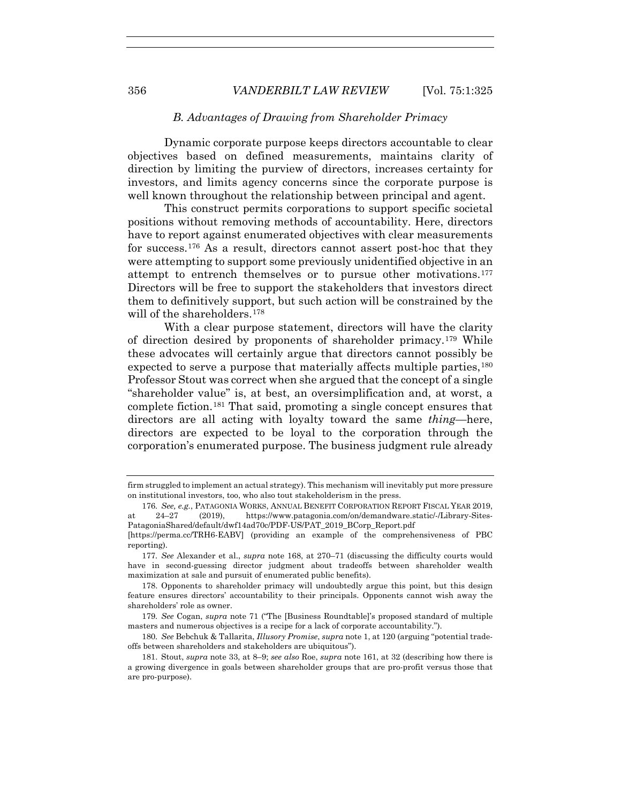## *B. Advantages of Drawing from Shareholder Primacy*

Dynamic corporate purpose keeps directors accountable to clear objectives based on defined measurements, maintains clarity of direction by limiting the purview of directors, increases certainty for investors, and limits agency concerns since the corporate purpose is well known throughout the relationship between principal and agent.

This construct permits corporations to support specific societal positions without removing methods of accountability. Here, directors have to report against enumerated objectives with clear measurements for success.176 As a result, directors cannot assert post-hoc that they were attempting to support some previously unidentified objective in an attempt to entrench themselves or to pursue other motivations.177 Directors will be free to support the stakeholders that investors direct them to definitively support, but such action will be constrained by the will of the shareholders.<sup>178</sup>

With a clear purpose statement, directors will have the clarity of direction desired by proponents of shareholder primacy.179 While these advocates will certainly argue that directors cannot possibly be expected to serve a purpose that materially affects multiple parties, <sup>180</sup> Professor Stout was correct when she argued that the concept of a single "shareholder value" is, at best, an oversimplification and, at worst, a complete fiction.181 That said, promoting a single concept ensures that directors are all acting with loyalty toward the same *thing*—here, directors are expected to be loyal to the corporation through the corporation's enumerated purpose. The business judgment rule already

firm struggled to implement an actual strategy). This mechanism will inevitably put more pressure on institutional investors, too, who also tout stakeholderism in the press.

<sup>176</sup>*. See, e.g.*, PATAGONIA WORKS, ANNUAL BENEFIT CORPORATION REPORT FISCAL YEAR 2019, at 24–27 (2019), https://www.patagonia.com/on/demandware.static/-/Library-Sites-PatagoniaShared/default/dwf14ad70c/PDF-US/PAT\_2019\_BCorp\_Report.pdf

<sup>[</sup>https://perma.cc/TRH6-EABV] (providing an example of the comprehensiveness of PBC reporting).

<sup>177</sup>*. See* Alexander et al., *supra* note 168, at 270–71 (discussing the difficulty courts would have in second-guessing director judgment about tradeoffs between shareholder wealth maximization at sale and pursuit of enumerated public benefits).

 <sup>178.</sup> Opponents to shareholder primacy will undoubtedly argue this point, but this design feature ensures directors' accountability to their principals. Opponents cannot wish away the shareholders' role as owner.

<sup>179</sup>*. See* Cogan, *supra* note 71 ("The [Business Roundtable]'s proposed standard of multiple masters and numerous objectives is a recipe for a lack of corporate accountability.").

<sup>180</sup>*. See* Bebchuk & Tallarita, *Illusory Promise*, *supra* note 1, at 120 (arguing "potential tradeoffs between shareholders and stakeholders are ubiquitous").

 <sup>181.</sup> Stout, *supra* note 33, at 8–9; *see also* Roe, *supra* note 161, at 32 (describing how there is a growing divergence in goals between shareholder groups that are pro-profit versus those that are pro-purpose).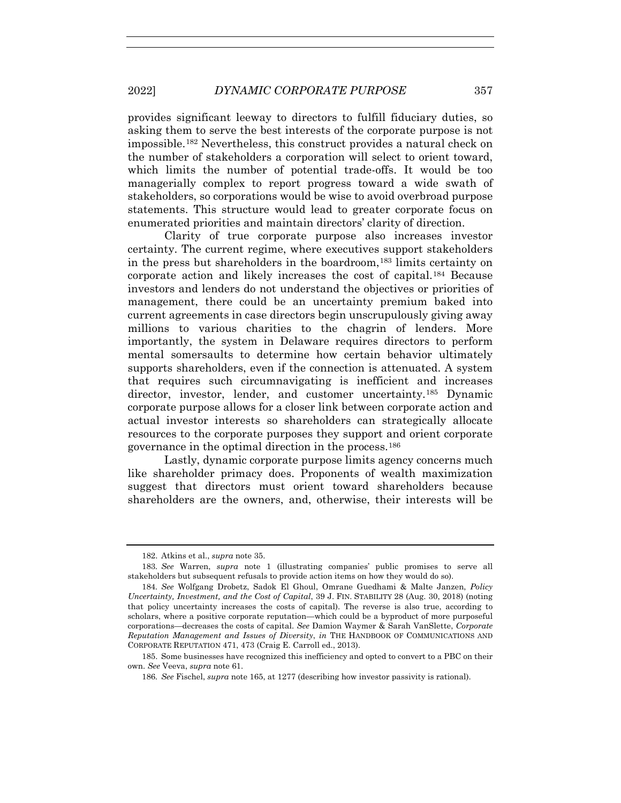provides significant leeway to directors to fulfill fiduciary duties, so asking them to serve the best interests of the corporate purpose is not impossible.182 Nevertheless, this construct provides a natural check on the number of stakeholders a corporation will select to orient toward, which limits the number of potential trade-offs. It would be too managerially complex to report progress toward a wide swath of stakeholders, so corporations would be wise to avoid overbroad purpose statements. This structure would lead to greater corporate focus on enumerated priorities and maintain directors' clarity of direction.

Clarity of true corporate purpose also increases investor certainty. The current regime, where executives support stakeholders in the press but shareholders in the boardroom,183 limits certainty on corporate action and likely increases the cost of capital.184 Because investors and lenders do not understand the objectives or priorities of management, there could be an uncertainty premium baked into current agreements in case directors begin unscrupulously giving away millions to various charities to the chagrin of lenders. More importantly, the system in Delaware requires directors to perform mental somersaults to determine how certain behavior ultimately supports shareholders, even if the connection is attenuated. A system that requires such circumnavigating is inefficient and increases director, investor, lender, and customer uncertainty.185 Dynamic corporate purpose allows for a closer link between corporate action and actual investor interests so shareholders can strategically allocate resources to the corporate purposes they support and orient corporate governance in the optimal direction in the process.186

Lastly, dynamic corporate purpose limits agency concerns much like shareholder primacy does. Proponents of wealth maximization suggest that directors must orient toward shareholders because shareholders are the owners, and, otherwise, their interests will be

 <sup>182.</sup> Atkins et al., *supra* note 35.

<sup>183</sup>*. See* Warren, *supra* note 1 (illustrating companies' public promises to serve all stakeholders but subsequent refusals to provide action items on how they would do so).

<sup>184</sup>*. See* Wolfgang Drobetz, Sadok El Ghoul, Omrane Guedhami & Malte Janzen, *Policy Uncertainty, Investment, and the Cost of Capital*, 39 J. FIN. STABILITY 28 (Aug. 30, 2018) (noting that policy uncertainty increases the costs of capital). The reverse is also true, according to scholars, where a positive corporate reputation—which could be a byproduct of more purposeful corporations—decreases the costs of capital. *See* Damion Waymer & Sarah VanSlette, *Corporate Reputation Management and Issues of Diversity*, *in* THE HANDBOOK OF COMMUNICATIONS AND CORPORATE REPUTATION 471, 473 (Craig E. Carroll ed., 2013).

 <sup>185.</sup> Some businesses have recognized this inefficiency and opted to convert to a PBC on their own. *See* Veeva, *supra* note 61.

<sup>186</sup>*. See* Fischel, *supra* note 165, at 1277 (describing how investor passivity is rational).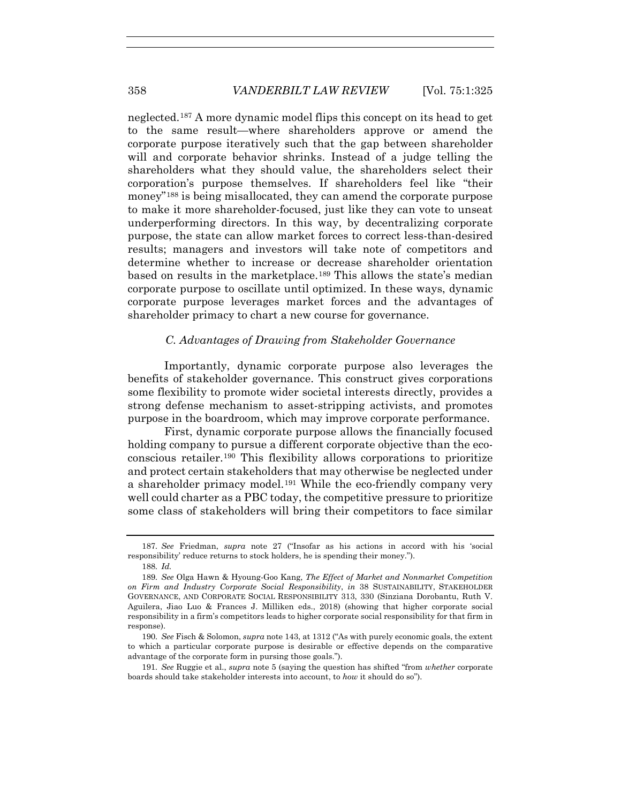neglected.187 A more dynamic model flips this concept on its head to get to the same result—where shareholders approve or amend the corporate purpose iteratively such that the gap between shareholder will and corporate behavior shrinks. Instead of a judge telling the shareholders what they should value, the shareholders select their corporation's purpose themselves. If shareholders feel like "their money"188 is being misallocated, they can amend the corporate purpose to make it more shareholder-focused, just like they can vote to unseat underperforming directors. In this way, by decentralizing corporate purpose, the state can allow market forces to correct less-than-desired results; managers and investors will take note of competitors and determine whether to increase or decrease shareholder orientation based on results in the marketplace.189 This allows the state's median corporate purpose to oscillate until optimized. In these ways, dynamic corporate purpose leverages market forces and the advantages of shareholder primacy to chart a new course for governance.

# *C. Advantages of Drawing from Stakeholder Governance*

Importantly, dynamic corporate purpose also leverages the benefits of stakeholder governance. This construct gives corporations some flexibility to promote wider societal interests directly, provides a strong defense mechanism to asset-stripping activists, and promotes purpose in the boardroom, which may improve corporate performance.

First, dynamic corporate purpose allows the financially focused holding company to pursue a different corporate objective than the ecoconscious retailer.190 This flexibility allows corporations to prioritize and protect certain stakeholders that may otherwise be neglected under a shareholder primacy model.191 While the eco-friendly company very well could charter as a PBC today, the competitive pressure to prioritize some class of stakeholders will bring their competitors to face similar

191*. See* Ruggie et al., *supra* note 5 (saying the question has shifted "from *whether* corporate boards should take stakeholder interests into account, to *how* it should do so").

<sup>187</sup>*. See* Friedman, *supra* note 27 ("Insofar as his actions in accord with his 'social responsibility' reduce returns to stock holders, he is spending their money.").

<sup>188</sup>*. Id.*

<sup>189</sup>*. See* Olga Hawn & Hyoung-Goo Kang, *The Effect of Market and Nonmarket Competition on Firm and Industry Corporate Social Responsibility*, *in* 38 SUSTAINABILITY, STAKEHOLDER GOVERNANCE, AND CORPORATE SOCIAL RESPONSIBILITY 313, 330 (Sinziana Dorobantu, Ruth V. Aguilera, Jiao Luo & Frances J. Milliken eds., 2018) (showing that higher corporate social responsibility in a firm's competitors leads to higher corporate social responsibility for that firm in response).

<sup>190</sup>*. See* Fisch & Solomon, *supra* note 143, at 1312 ("As with purely economic goals, the extent to which a particular corporate purpose is desirable or effective depends on the comparative advantage of the corporate form in pursing those goals.").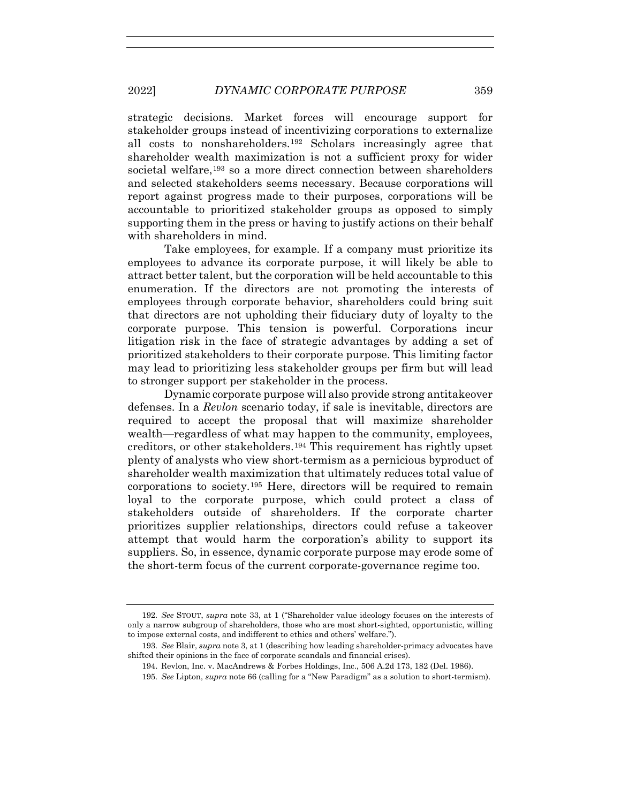strategic decisions. Market forces will encourage support for stakeholder groups instead of incentivizing corporations to externalize all costs to nonshareholders.192 Scholars increasingly agree that shareholder wealth maximization is not a sufficient proxy for wider societal welfare,193 so a more direct connection between shareholders and selected stakeholders seems necessary. Because corporations will report against progress made to their purposes, corporations will be accountable to prioritized stakeholder groups as opposed to simply supporting them in the press or having to justify actions on their behalf with shareholders in mind.

Take employees, for example. If a company must prioritize its employees to advance its corporate purpose, it will likely be able to attract better talent, but the corporation will be held accountable to this enumeration. If the directors are not promoting the interests of employees through corporate behavior, shareholders could bring suit that directors are not upholding their fiduciary duty of loyalty to the corporate purpose. This tension is powerful. Corporations incur litigation risk in the face of strategic advantages by adding a set of prioritized stakeholders to their corporate purpose. This limiting factor may lead to prioritizing less stakeholder groups per firm but will lead to stronger support per stakeholder in the process.

Dynamic corporate purpose will also provide strong antitakeover defenses. In a *Revlon* scenario today, if sale is inevitable, directors are required to accept the proposal that will maximize shareholder wealth—regardless of what may happen to the community, employees, creditors, or other stakeholders.194 This requirement has rightly upset plenty of analysts who view short-termism as a pernicious byproduct of shareholder wealth maximization that ultimately reduces total value of corporations to society.195 Here, directors will be required to remain loyal to the corporate purpose, which could protect a class of stakeholders outside of shareholders. If the corporate charter prioritizes supplier relationships, directors could refuse a takeover attempt that would harm the corporation's ability to support its suppliers. So, in essence, dynamic corporate purpose may erode some of the short-term focus of the current corporate-governance regime too.

<sup>192</sup>*. See* STOUT, *supra* note 33, at 1 ("Shareholder value ideology focuses on the interests of only a narrow subgroup of shareholders, those who are most short-sighted, opportunistic, willing to impose external costs, and indifferent to ethics and others' welfare.").

<sup>193</sup>*. See* Blair, *supra* note 3, at 1 (describing how leading shareholder-primacy advocates have shifted their opinions in the face of corporate scandals and financial crises).

 <sup>194.</sup> Revlon, Inc. v. MacAndrews & Forbes Holdings, Inc., 506 A.2d 173, 182 (Del. 1986).

<sup>195</sup>*. See* Lipton, *supra* note 66 (calling for a "New Paradigm" as a solution to short-termism).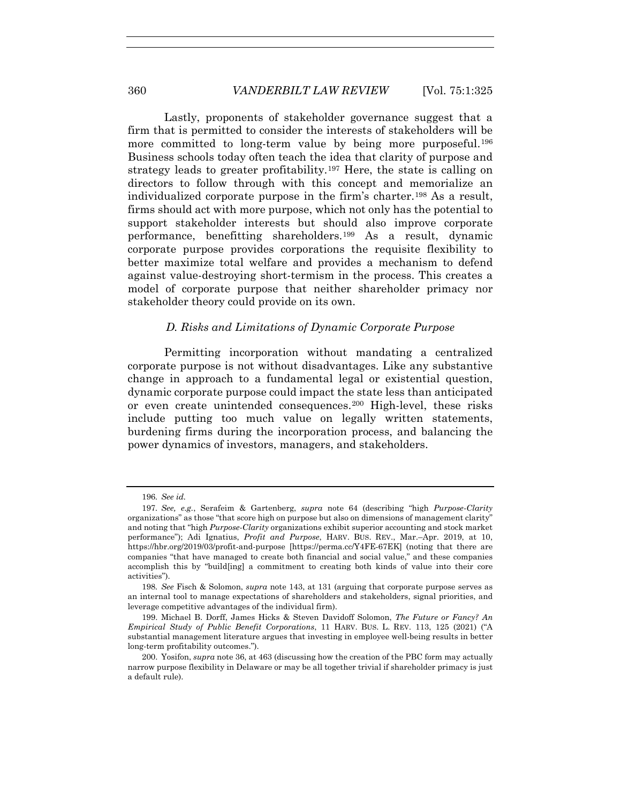Lastly, proponents of stakeholder governance suggest that a firm that is permitted to consider the interests of stakeholders will be more committed to long-term value by being more purposeful.<sup>196</sup> Business schools today often teach the idea that clarity of purpose and strategy leads to greater profitability.197 Here, the state is calling on directors to follow through with this concept and memorialize an individualized corporate purpose in the firm's charter.198 As a result, firms should act with more purpose, which not only has the potential to support stakeholder interests but should also improve corporate performance, benefitting shareholders.199 As a result, dynamic corporate purpose provides corporations the requisite flexibility to better maximize total welfare and provides a mechanism to defend against value-destroying short-termism in the process. This creates a model of corporate purpose that neither shareholder primacy nor stakeholder theory could provide on its own.

# *D. Risks and Limitations of Dynamic Corporate Purpose*

Permitting incorporation without mandating a centralized corporate purpose is not without disadvantages. Like any substantive change in approach to a fundamental legal or existential question, dynamic corporate purpose could impact the state less than anticipated or even create unintended consequences.200 High-level, these risks include putting too much value on legally written statements, burdening firms during the incorporation process, and balancing the power dynamics of investors, managers, and stakeholders.

<sup>196</sup>*. See id.*

<sup>197</sup>*. See, e.g.*, Serafeim & Gartenberg, *supra* note 64 (describing "high *Purpose-Clarity* organizations" as those "that score high on purpose but also on dimensions of management clarity" and noting that "high *Purpose-Clarity* organizations exhibit superior accounting and stock market performance"); Adi Ignatius, *Profit and Purpose*, HARV. BUS. REV., Mar.–Apr. 2019, at 10, https://hbr.org/2019/03/profit-and-purpose [https://perma.cc/Y4FE-67EK] (noting that there are companies "that have managed to create both financial and social value," and these companies accomplish this by "build[ing] a commitment to creating both kinds of value into their core activities").

<sup>198</sup>*. See* Fisch & Solomon, *supra* note 143, at 131 (arguing that corporate purpose serves as an internal tool to manage expectations of shareholders and stakeholders, signal priorities, and leverage competitive advantages of the individual firm).

 <sup>199.</sup> Michael B. Dorff, James Hicks & Steven Davidoff Solomon, *The Future or Fancy? An Empirical Study of Public Benefit Corporations*, 11 HARV. BUS. L. REV. 113, 125 (2021) ("A substantial management literature argues that investing in employee well-being results in better long-term profitability outcomes.").

 <sup>200.</sup> Yosifon, *supra* note 36, at 463 (discussing how the creation of the PBC form may actually narrow purpose flexibility in Delaware or may be all together trivial if shareholder primacy is just a default rule).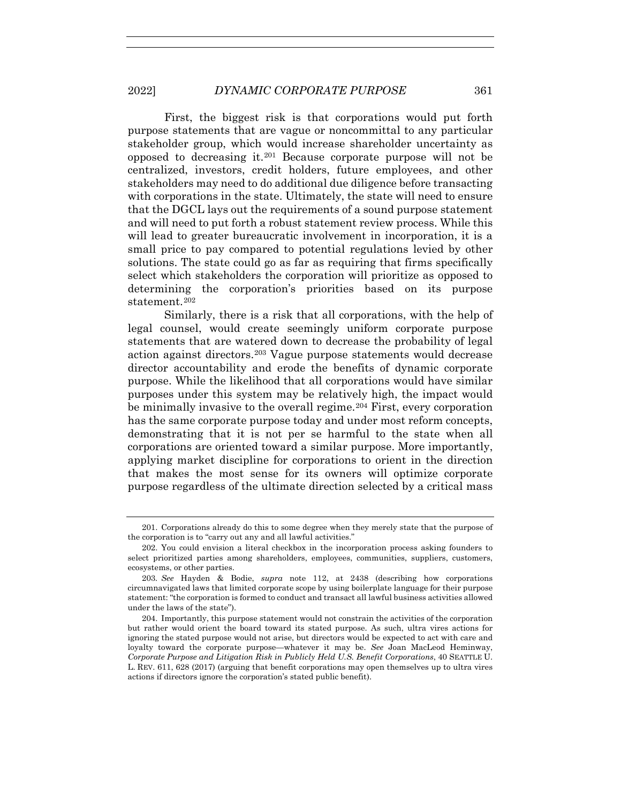First, the biggest risk is that corporations would put forth purpose statements that are vague or noncommittal to any particular stakeholder group, which would increase shareholder uncertainty as opposed to decreasing it.<sup>201</sup> Because corporate purpose will not be centralized, investors, credit holders, future employees, and other stakeholders may need to do additional due diligence before transacting with corporations in the state. Ultimately, the state will need to ensure that the DGCL lays out the requirements of a sound purpose statement and will need to put forth a robust statement review process. While this will lead to greater bureaucratic involvement in incorporation, it is a small price to pay compared to potential regulations levied by other solutions. The state could go as far as requiring that firms specifically select which stakeholders the corporation will prioritize as opposed to determining the corporation's priorities based on its purpose statement.<sup>202</sup>

Similarly, there is a risk that all corporations, with the help of legal counsel, would create seemingly uniform corporate purpose statements that are watered down to decrease the probability of legal action against directors.203 Vague purpose statements would decrease director accountability and erode the benefits of dynamic corporate purpose. While the likelihood that all corporations would have similar purposes under this system may be relatively high, the impact would be minimally invasive to the overall regime.<sup>204</sup> First, every corporation has the same corporate purpose today and under most reform concepts, demonstrating that it is not per se harmful to the state when all corporations are oriented toward a similar purpose. More importantly, applying market discipline for corporations to orient in the direction that makes the most sense for its owners will optimize corporate purpose regardless of the ultimate direction selected by a critical mass

 <sup>201.</sup> Corporations already do this to some degree when they merely state that the purpose of the corporation is to "carry out any and all lawful activities."

 <sup>202.</sup> You could envision a literal checkbox in the incorporation process asking founders to select prioritized parties among shareholders, employees, communities, suppliers, customers, ecosystems, or other parties.

<sup>203</sup>*. See* Hayden & Bodie, *supra* note 112, at 2438 (describing how corporations circumnavigated laws that limited corporate scope by using boilerplate language for their purpose statement: "the corporation is formed to conduct and transact all lawful business activities allowed under the laws of the state").

 <sup>204.</sup> Importantly, this purpose statement would not constrain the activities of the corporation but rather would orient the board toward its stated purpose. As such, ultra vires actions for ignoring the stated purpose would not arise, but directors would be expected to act with care and loyalty toward the corporate purpose—whatever it may be. *See* Joan MacLeod Heminway, *Corporate Purpose and Litigation Risk in Publicly Held U.S. Benefit Corporations*, 40 SEATTLE U. L. REV. 611, 628 (2017) (arguing that benefit corporations may open themselves up to ultra vires actions if directors ignore the corporation's stated public benefit).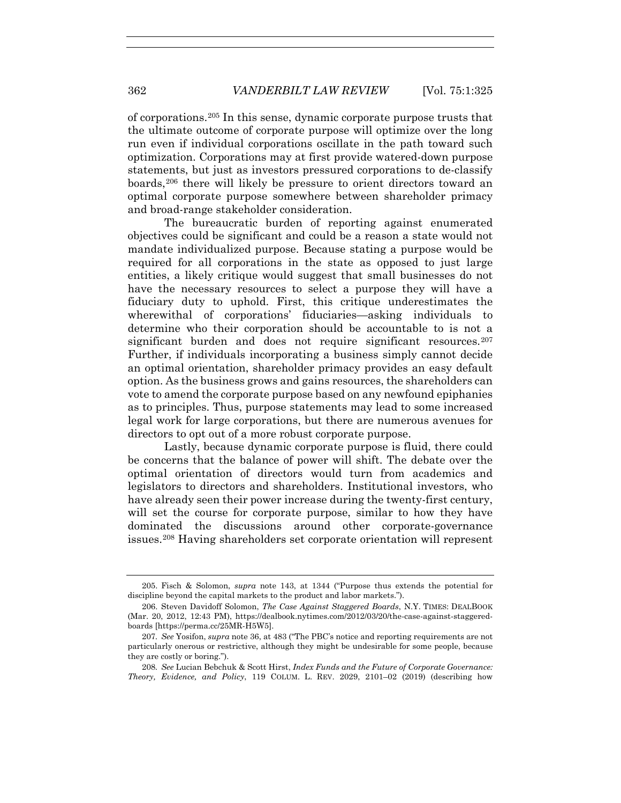of corporations.205 In this sense, dynamic corporate purpose trusts that the ultimate outcome of corporate purpose will optimize over the long run even if individual corporations oscillate in the path toward such optimization. Corporations may at first provide watered-down purpose statements, but just as investors pressured corporations to de-classify boards,206 there will likely be pressure to orient directors toward an optimal corporate purpose somewhere between shareholder primacy and broad-range stakeholder consideration.

The bureaucratic burden of reporting against enumerated objectives could be significant and could be a reason a state would not mandate individualized purpose. Because stating a purpose would be required for all corporations in the state as opposed to just large entities, a likely critique would suggest that small businesses do not have the necessary resources to select a purpose they will have a fiduciary duty to uphold. First, this critique underestimates the wherewithal of corporations' fiduciaries—asking individuals to determine who their corporation should be accountable to is not a significant burden and does not require significant resources.<sup>207</sup> Further, if individuals incorporating a business simply cannot decide an optimal orientation, shareholder primacy provides an easy default option. As the business grows and gains resources, the shareholders can vote to amend the corporate purpose based on any newfound epiphanies as to principles. Thus, purpose statements may lead to some increased legal work for large corporations, but there are numerous avenues for directors to opt out of a more robust corporate purpose.

Lastly, because dynamic corporate purpose is fluid, there could be concerns that the balance of power will shift. The debate over the optimal orientation of directors would turn from academics and legislators to directors and shareholders. Institutional investors, who have already seen their power increase during the twenty-first century, will set the course for corporate purpose, similar to how they have dominated the discussions around other corporate-governance issues.208 Having shareholders set corporate orientation will represent

 <sup>205.</sup> Fisch & Solomon, *supra* note 143, at 1344 ("Purpose thus extends the potential for discipline beyond the capital markets to the product and labor markets.").

 <sup>206.</sup> Steven Davidoff Solomon, *The Case Against Staggered Boards*, N.Y. TIMES: DEALBOOK (Mar. 20, 2012, 12:43 PM), https://dealbook.nytimes.com/2012/03/20/the-case-against-staggeredboards [https://perma.cc/25MR-H5W5].

<sup>207</sup>*. See* Yosifon, *supra* note 36, at 483 ("The PBC's notice and reporting requirements are not particularly onerous or restrictive, although they might be undesirable for some people, because they are costly or boring.").

<sup>208</sup>*. See* Lucian Bebchuk & Scott Hirst, *Index Funds and the Future of Corporate Governance: Theory, Evidence, and Policy*, 119 COLUM. L. REV. 2029, 2101–02 (2019) (describing how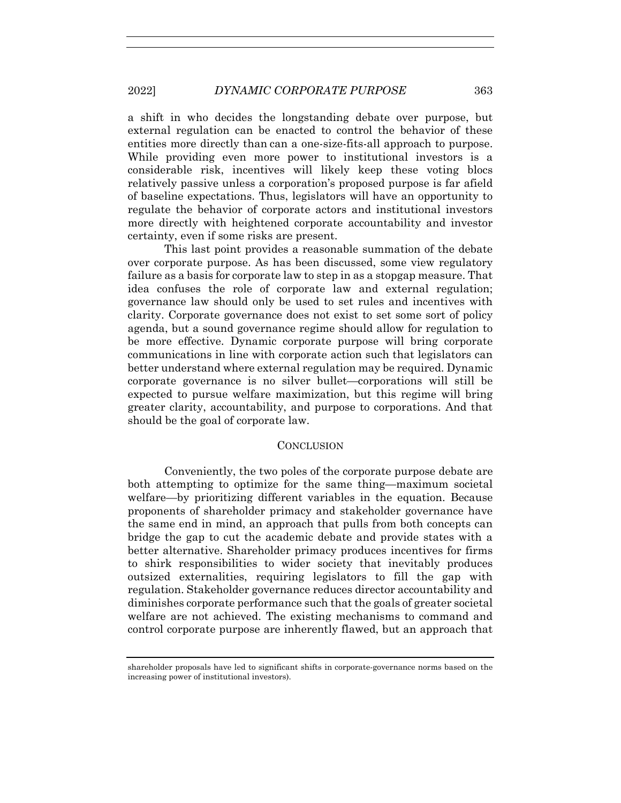a shift in who decides the longstanding debate over purpose, but external regulation can be enacted to control the behavior of these entities more directly than can a one-size-fits-all approach to purpose. While providing even more power to institutional investors is a considerable risk, incentives will likely keep these voting blocs relatively passive unless a corporation's proposed purpose is far afield of baseline expectations. Thus, legislators will have an opportunity to regulate the behavior of corporate actors and institutional investors more directly with heightened corporate accountability and investor certainty, even if some risks are present.

This last point provides a reasonable summation of the debate over corporate purpose. As has been discussed, some view regulatory failure as a basis for corporate law to step in as a stopgap measure. That idea confuses the role of corporate law and external regulation; governance law should only be used to set rules and incentives with clarity. Corporate governance does not exist to set some sort of policy agenda, but a sound governance regime should allow for regulation to be more effective. Dynamic corporate purpose will bring corporate communications in line with corporate action such that legislators can better understand where external regulation may be required. Dynamic corporate governance is no silver bullet—corporations will still be expected to pursue welfare maximization, but this regime will bring greater clarity, accountability, and purpose to corporations. And that should be the goal of corporate law.

## **CONCLUSION**

Conveniently, the two poles of the corporate purpose debate are both attempting to optimize for the same thing—maximum societal welfare—by prioritizing different variables in the equation. Because proponents of shareholder primacy and stakeholder governance have the same end in mind, an approach that pulls from both concepts can bridge the gap to cut the academic debate and provide states with a better alternative. Shareholder primacy produces incentives for firms to shirk responsibilities to wider society that inevitably produces outsized externalities, requiring legislators to fill the gap with regulation. Stakeholder governance reduces director accountability and diminishes corporate performance such that the goals of greater societal welfare are not achieved. The existing mechanisms to command and control corporate purpose are inherently flawed, but an approach that

shareholder proposals have led to significant shifts in corporate-governance norms based on the increasing power of institutional investors).